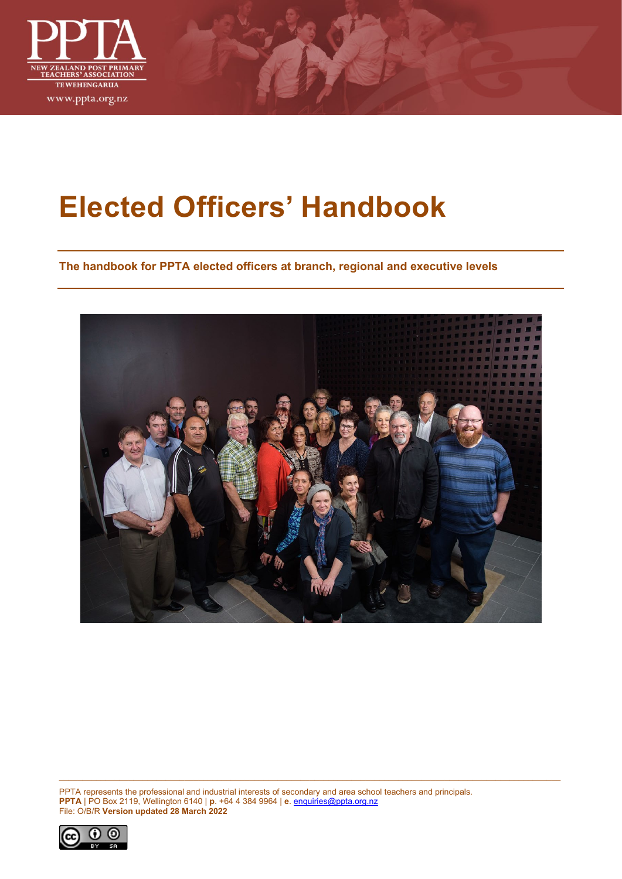

# **Elected Officers' Handbook**

**The handbook for PPTA elected officers at branch, regional and executive levels**



PPTA represents the professional and industrial interests of secondary and area school teachers and principals. **PPTA** | PO Box 2119, Wellington 6140 | **p**. +64 4 384 9964 | **e**. [enquiries@ppta.org.nz](mailto:enquiries@ppta.org.nz) File: O/B/R **Version updated 28 March 2022**

 $\_$  , and the set of the set of the set of the set of the set of the set of the set of the set of the set of the set of the set of the set of the set of the set of the set of the set of the set of the set of the set of th

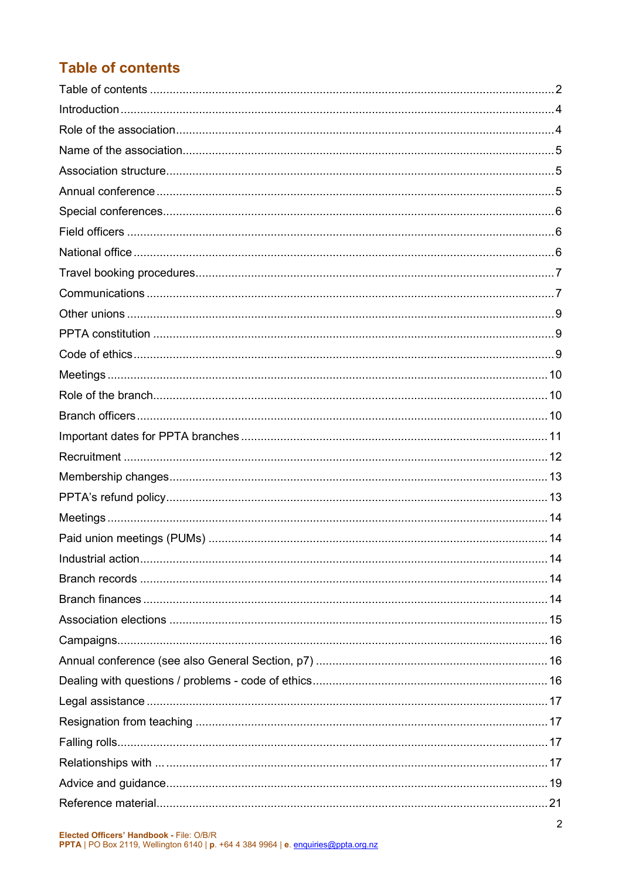### <span id="page-1-0"></span>**Table of contents**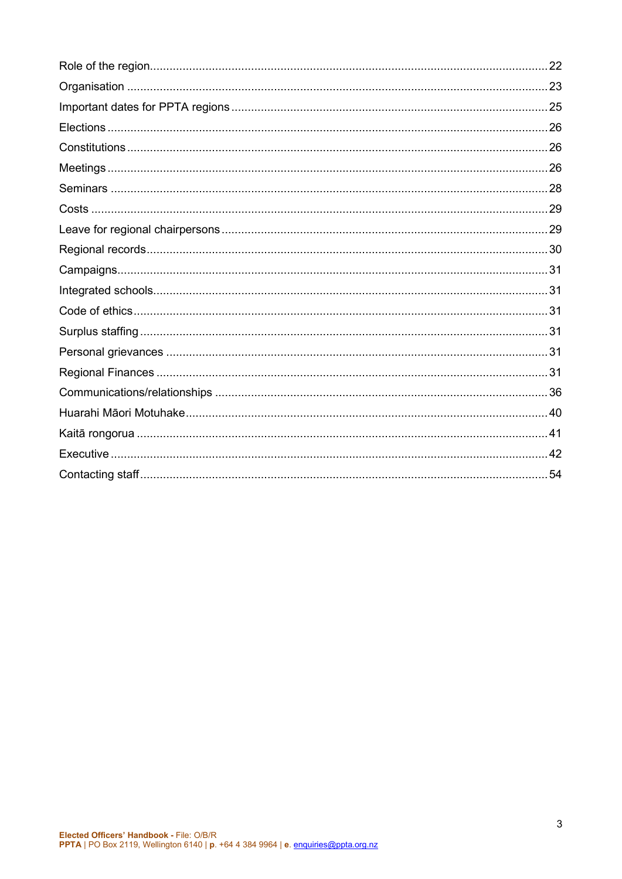| .54 |
|-----|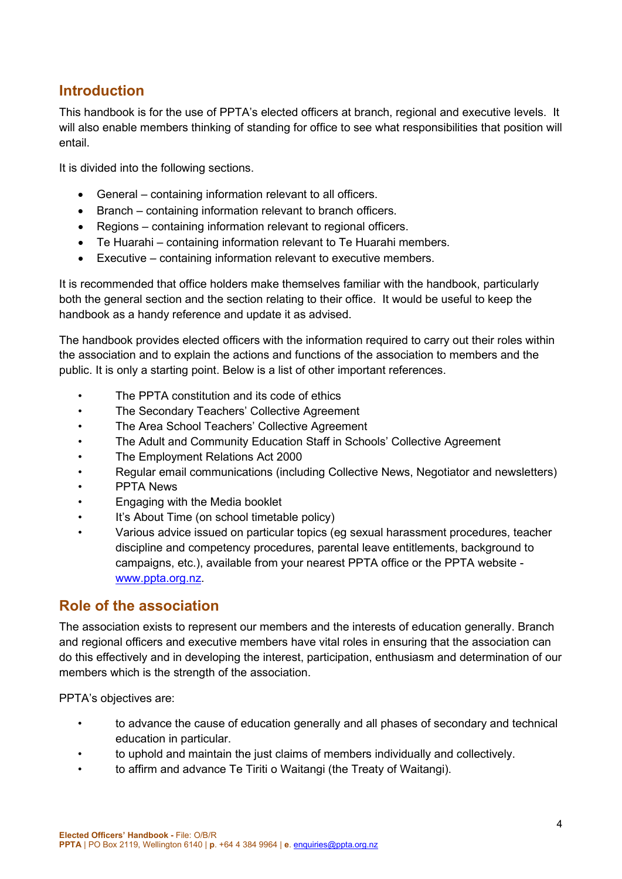### <span id="page-3-0"></span>**Introduction**

This handbook is for the use of PPTA's elected officers at branch, regional and executive levels. It will also enable members thinking of standing for office to see what responsibilities that position will entail.

It is divided into the following sections.

- General containing information relevant to all officers.
- Branch containing information relevant to branch officers.
- Regions containing information relevant to regional officers.
- Te Huarahi containing information relevant to Te Huarahi members.
- Executive containing information relevant to executive members.

It is recommended that office holders make themselves familiar with the handbook, particularly both the general section and the section relating to their office. It would be useful to keep the handbook as a handy reference and update it as advised.

The handbook provides elected officers with the information required to carry out their roles within the association and to explain the actions and functions of the association to members and the public. It is only a starting point. Below is a list of other important references.

- The PPTA constitution and its code of ethics
- The Secondary Teachers' Collective Agreement
- The Area School Teachers' Collective Agreement
- The Adult and Community Education Staff in Schools' Collective Agreement
- The Employment Relations Act 2000
- Regular email communications (including Collective News, Negotiator and newsletters)
- **PPTA News**
- Engaging with the Media booklet
- It's About Time (on school timetable policy)
- Various advice issued on particular topics (eg sexual harassment procedures, teacher discipline and competency procedures, parental leave entitlements, background to campaigns, etc.), available from your nearest PPTA office or the PPTA website www.ppta.org.nz.

### <span id="page-3-1"></span>**Role of the association**

The association exists to represent our members and the interests of education generally. Branch and regional officers and executive members have vital roles in ensuring that the association can do this effectively and in developing the interest, participation, enthusiasm and determination of our members which is the strength of the association.

PPTA's objectives are:

- to advance the cause of education generally and all phases of secondary and technical education in particular.
- to uphold and maintain the just claims of members individually and collectively.
- to affirm and advance Te Tiriti o Waitangi (the Treaty of Waitangi).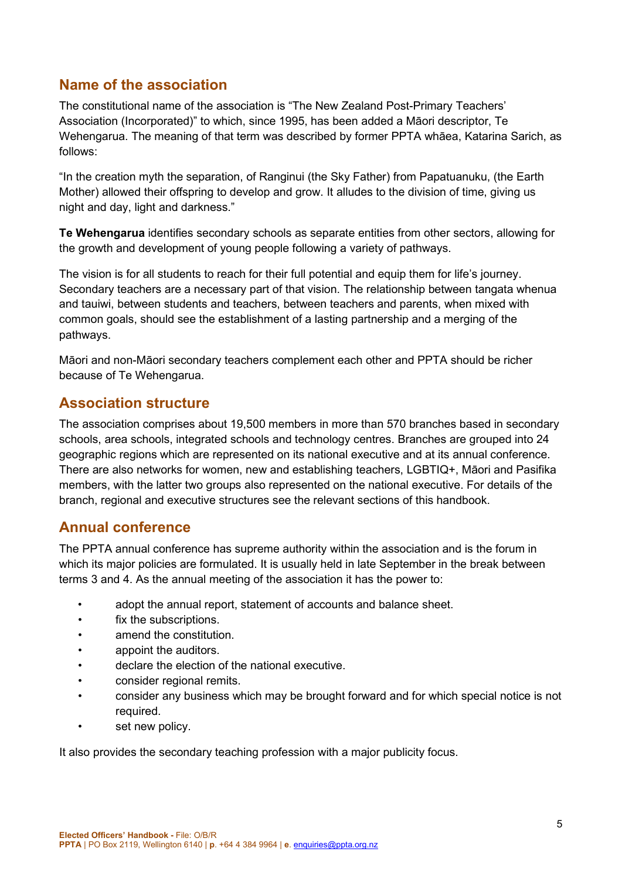### <span id="page-4-0"></span>**Name of the association**

The constitutional name of the association is "The New Zealand Post-Primary Teachers' Association (Incorporated)" to which, since 1995, has been added a Māori descriptor, Te Wehengarua. The meaning of that term was described by former PPTA whāea, Katarina Sarich, as follows:

"In the creation myth the separation, of Ranginui (the Sky Father) from Papatuanuku, (the Earth Mother) allowed their offspring to develop and grow. It alludes to the division of time, giving us night and day, light and darkness."

**Te Wehengarua** identifies secondary schools as separate entities from other sectors, allowing for the growth and development of young people following a variety of pathways.

The vision is for all students to reach for their full potential and equip them for life's journey. Secondary teachers are a necessary part of that vision. The relationship between tangata whenua and tauiwi, between students and teachers, between teachers and parents, when mixed with common goals, should see the establishment of a lasting partnership and a merging of the pathways.

Māori and non-Māori secondary teachers complement each other and PPTA should be richer because of Te Wehengarua.

### <span id="page-4-1"></span>**Association structure**

The association comprises about 19,500 members in more than 570 branches based in secondary schools, area schools, integrated schools and technology centres. Branches are grouped into 24 geographic regions which are represented on its national executive and at its annual conference. There are also networks for women, new and establishing teachers, LGBTIQ+, Māori and Pasifika members, with the latter two groups also represented on the national executive. For details of the branch, regional and executive structures see the relevant sections of this handbook.

### <span id="page-4-2"></span>**Annual conference**

The PPTA annual conference has supreme authority within the association and is the forum in which its major policies are formulated. It is usually held in late September in the break between terms 3 and 4. As the annual meeting of the association it has the power to:

- adopt the annual report, statement of accounts and balance sheet.
- fix the subscriptions.
- amend the constitution.
- appoint the auditors.
- declare the election of the national executive.
- consider regional remits.
- consider any business which may be brought forward and for which special notice is not required.
- set new policy.

It also provides the secondary teaching profession with a major publicity focus.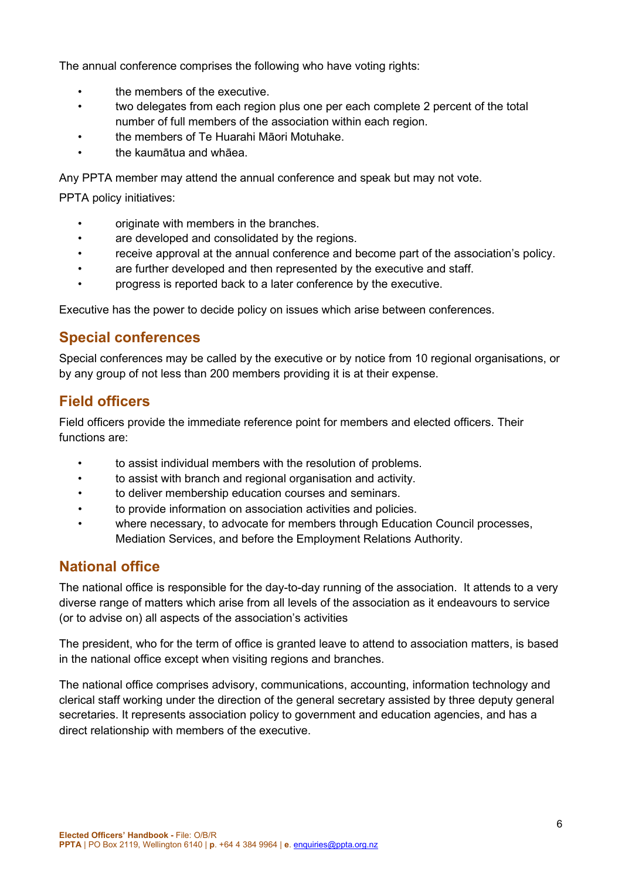The annual conference comprises the following who have voting rights:

- the members of the executive.
- two delegates from each region plus one per each complete 2 percent of the total number of full members of the association within each region.
- the members of Te Huarahi Māori Motuhake.
- the kaumātua and whāea.

Any PPTA member may attend the annual conference and speak but may not vote.

PPTA policy initiatives:

- originate with members in the branches.
- are developed and consolidated by the regions.
- receive approval at the annual conference and become part of the association's policy.
- are further developed and then represented by the executive and staff.
- progress is reported back to a later conference by the executive.

Executive has the power to decide policy on issues which arise between conferences.

### <span id="page-5-0"></span>**Special conferences**

Special conferences may be called by the executive or by notice from 10 regional organisations, or by any group of not less than 200 members providing it is at their expense.

### <span id="page-5-1"></span>**Field officers**

Field officers provide the immediate reference point for members and elected officers. Their functions are:

- to assist individual members with the resolution of problems.
- to assist with branch and regional organisation and activity.
- to deliver membership education courses and seminars.
- to provide information on association activities and policies.
- where necessary, to advocate for members through Education Council processes, Mediation Services, and before the Employment Relations Authority.

### <span id="page-5-2"></span>**National office**

The national office is responsible for the day-to-day running of the association. It attends to a very diverse range of matters which arise from all levels of the association as it endeavours to service (or to advise on) all aspects of the association's activities

The president, who for the term of office is granted leave to attend to association matters, is based in the national office except when visiting regions and branches.

The national office comprises advisory, communications, accounting, information technology and clerical staff working under the direction of the general secretary assisted by three deputy general secretaries. It represents association policy to government and education agencies, and has a direct relationship with members of the executive.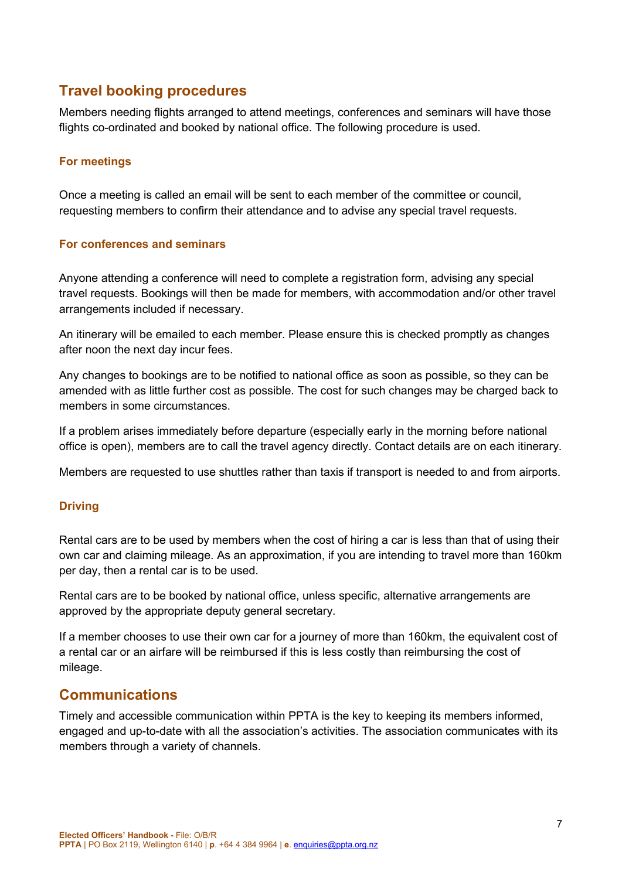### <span id="page-6-0"></span>**Travel booking procedures**

Members needing flights arranged to attend meetings, conferences and seminars will have those flights co-ordinated and booked by national office. The following procedure is used.

#### **For meetings**

Once a meeting is called an email will be sent to each member of the committee or council, requesting members to confirm their attendance and to advise any special travel requests.

#### **For conferences and seminars**

Anyone attending a conference will need to complete a registration form, advising any special travel requests. Bookings will then be made for members, with accommodation and/or other travel arrangements included if necessary.

An itinerary will be emailed to each member. Please ensure this is checked promptly as changes after noon the next day incur fees.

Any changes to bookings are to be notified to national office as soon as possible, so they can be amended with as little further cost as possible. The cost for such changes may be charged back to members in some circumstances.

If a problem arises immediately before departure (especially early in the morning before national office is open), members are to call the travel agency directly. Contact details are on each itinerary.

Members are requested to use shuttles rather than taxis if transport is needed to and from airports.

#### **Driving**

Rental cars are to be used by members when the cost of hiring a car is less than that of using their own car and claiming mileage. As an approximation, if you are intending to travel more than 160km per day, then a rental car is to be used.

Rental cars are to be booked by national office, unless specific, alternative arrangements are approved by the appropriate deputy general secretary.

If a member chooses to use their own car for a journey of more than 160km, the equivalent cost of a rental car or an airfare will be reimbursed if this is less costly than reimbursing the cost of mileage.

### <span id="page-6-1"></span>**Communications**

Timely and accessible communication within PPTA is the key to keeping its members informed, engaged and up-to-date with all the association's activities. The association communicates with its members through a variety of channels.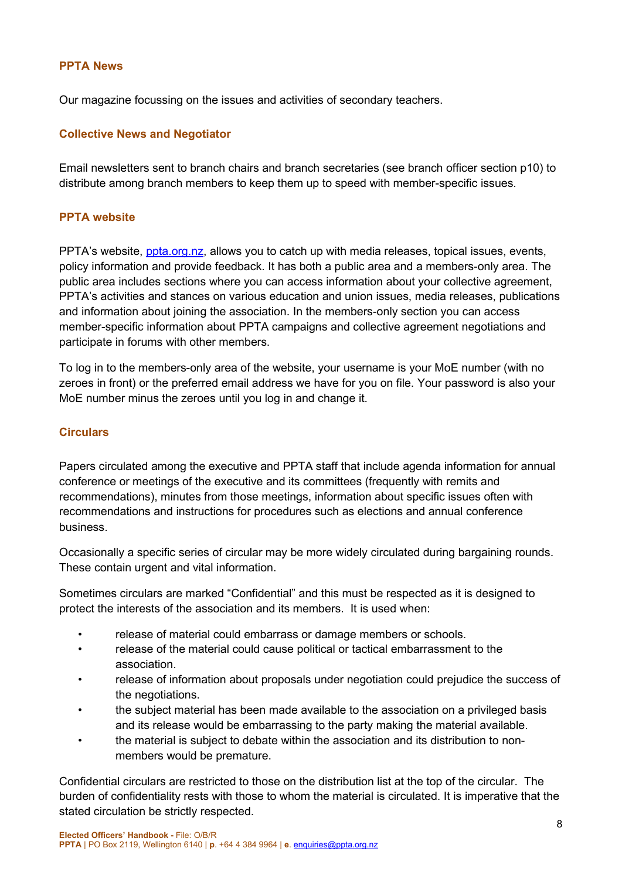#### **PPTA News**

Our magazine focussing on the issues and activities of secondary teachers.

#### **Collective News and Negotiator**

Email newsletters sent to branch chairs and branch secretaries (see branch officer section p10) to distribute among branch members to keep them up to speed with member-specific issues.

#### **PPTA website**

PPTA's website, [ppta.org.nz,](http://www.ppta.org.nz/) allows you to catch up with media releases, topical issues, events, policy information and provide feedback. It has both a public area and a members-only area. The public area includes sections where you can access information about your collective agreement, PPTA's activities and stances on various education and union issues, media releases, publications and information about joining the association. In the members-only section you can access member-specific information about PPTA campaigns and collective agreement negotiations and participate in forums with other members.

To log in to the members-only area of the website, your username is your MoE number (with no zeroes in front) or the preferred email address we have for you on file. Your password is also your MoE number minus the zeroes until you log in and change it.

#### **Circulars**

Papers circulated among the executive and PPTA staff that include agenda information for annual conference or meetings of the executive and its committees (frequently with remits and recommendations), minutes from those meetings, information about specific issues often with recommendations and instructions for procedures such as elections and annual conference business.

Occasionally a specific series of circular may be more widely circulated during bargaining rounds. These contain urgent and vital information.

Sometimes circulars are marked "Confidential" and this must be respected as it is designed to protect the interests of the association and its members. It is used when:

- release of material could embarrass or damage members or schools.
- release of the material could cause political or tactical embarrassment to the association.
- release of information about proposals under negotiation could prejudice the success of the negotiations.
- the subject material has been made available to the association on a privileged basis and its release would be embarrassing to the party making the material available.
- the material is subject to debate within the association and its distribution to nonmembers would be premature.

Confidential circulars are restricted to those on the distribution list at the top of the circular. The burden of confidentiality rests with those to whom the material is circulated. It is imperative that the stated circulation be strictly respected.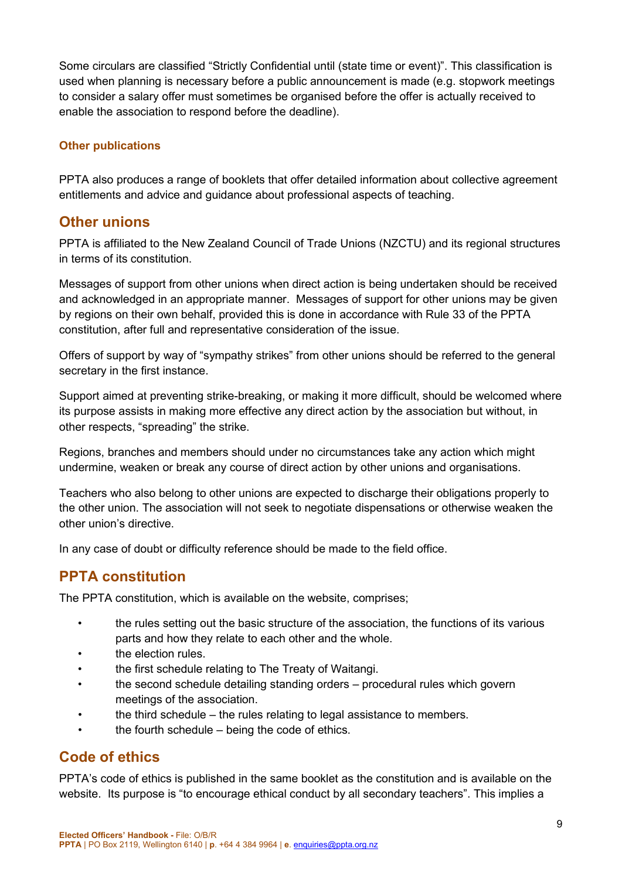Some circulars are classified "Strictly Confidential until (state time or event)". This classification is used when planning is necessary before a public announcement is made (e.g. stopwork meetings to consider a salary offer must sometimes be organised before the offer is actually received to enable the association to respond before the deadline).

#### **Other publications**

PPTA also produces a range of booklets that offer detailed information about collective agreement entitlements and advice and guidance about professional aspects of teaching.

### <span id="page-8-0"></span>**Other unions**

PPTA is affiliated to the New Zealand Council of Trade Unions (NZCTU) and its regional structures in terms of its constitution.

Messages of support from other unions when direct action is being undertaken should be received and acknowledged in an appropriate manner. Messages of support for other unions may be given by regions on their own behalf, provided this is done in accordance with Rule 33 of the PPTA constitution, after full and representative consideration of the issue.

Offers of support by way of "sympathy strikes" from other unions should be referred to the general secretary in the first instance.

Support aimed at preventing strike-breaking, or making it more difficult, should be welcomed where its purpose assists in making more effective any direct action by the association but without, in other respects, "spreading" the strike.

Regions, branches and members should under no circumstances take any action which might undermine, weaken or break any course of direct action by other unions and organisations.

Teachers who also belong to other unions are expected to discharge their obligations properly to the other union. The association will not seek to negotiate dispensations or otherwise weaken the other union's directive.

In any case of doubt or difficulty reference should be made to the field office.

### <span id="page-8-1"></span>**PPTA constitution**

The PPTA constitution, which is available on the website, comprises;

- the rules setting out the basic structure of the association, the functions of its various parts and how they relate to each other and the whole.
- the election rules.
- the first schedule relating to The Treaty of Waitangi.
- the second schedule detailing standing orders procedural rules which govern meetings of the association.
- the third schedule the rules relating to legal assistance to members.
- the fourth schedule  $-$  being the code of ethics.

### <span id="page-8-2"></span>**Code of ethics**

PPTA's code of ethics is published in the same booklet as the constitution and is available on the website. Its purpose is "to encourage ethical conduct by all secondary teachers". This implies a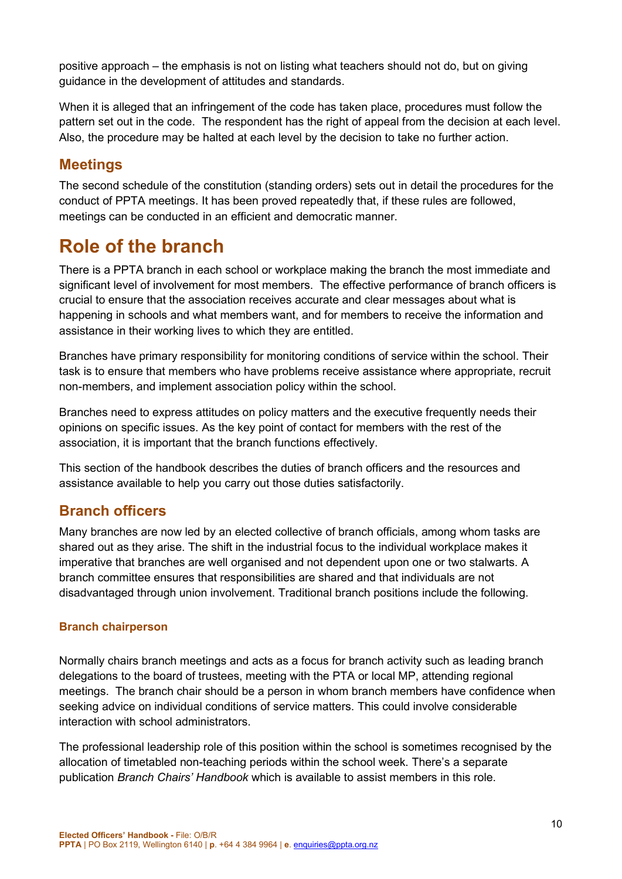positive approach – the emphasis is not on listing what teachers should not do, but on giving guidance in the development of attitudes and standards.

When it is alleged that an infringement of the code has taken place, procedures must follow the pattern set out in the code. The respondent has the right of appeal from the decision at each level. Also, the procedure may be halted at each level by the decision to take no further action.

### <span id="page-9-0"></span>**Meetings**

The second schedule of the constitution (standing orders) sets out in detail the procedures for the conduct of PPTA meetings. It has been proved repeatedly that, if these rules are followed, meetings can be conducted in an efficient and democratic manner.

## <span id="page-9-1"></span>**Role of the branch**

There is a PPTA branch in each school or workplace making the branch the most immediate and significant level of involvement for most members. The effective performance of branch officers is crucial to ensure that the association receives accurate and clear messages about what is happening in schools and what members want, and for members to receive the information and assistance in their working lives to which they are entitled.

Branches have primary responsibility for monitoring conditions of service within the school. Their task is to ensure that members who have problems receive assistance where appropriate, recruit non-members, and implement association policy within the school.

Branches need to express attitudes on policy matters and the executive frequently needs their opinions on specific issues. As the key point of contact for members with the rest of the association, it is important that the branch functions effectively.

This section of the handbook describes the duties of branch officers and the resources and assistance available to help you carry out those duties satisfactorily.

### <span id="page-9-2"></span>**Branch officers**

Many branches are now led by an elected collective of branch officials, among whom tasks are shared out as they arise. The shift in the industrial focus to the individual workplace makes it imperative that branches are well organised and not dependent upon one or two stalwarts. A branch committee ensures that responsibilities are shared and that individuals are not disadvantaged through union involvement. Traditional branch positions include the following.

#### **Branch chairperson**

Normally chairs branch meetings and acts as a focus for branch activity such as leading branch delegations to the board of trustees, meeting with the PTA or local MP, attending regional meetings. The branch chair should be a person in whom branch members have confidence when seeking advice on individual conditions of service matters. This could involve considerable interaction with school administrators.

The professional leadership role of this position within the school is sometimes recognised by the allocation of timetabled non-teaching periods within the school week. There's a separate publication *Branch Chairs' Handbook* which is available to assist members in this role.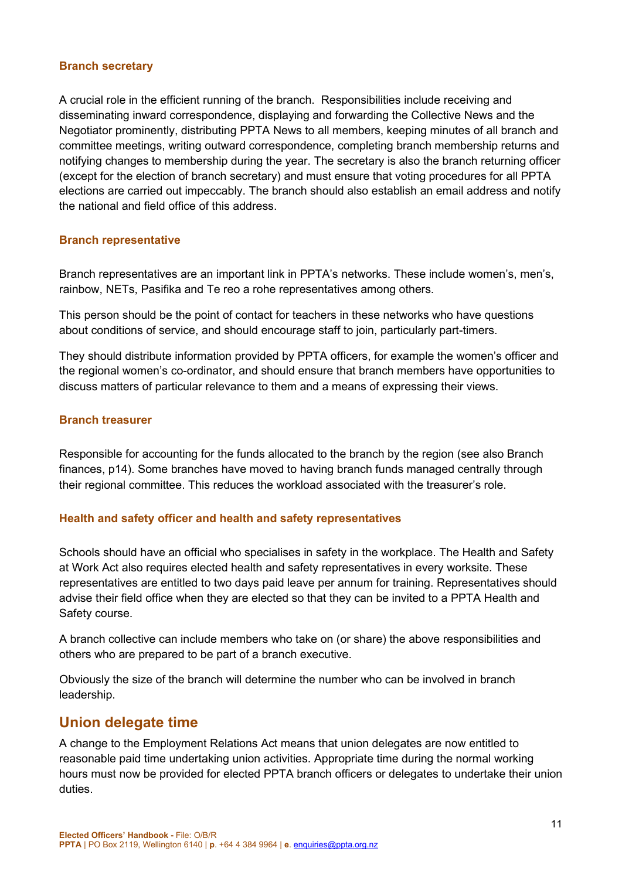#### **Branch secretary**

A crucial role in the efficient running of the branch. Responsibilities include receiving and disseminating inward correspondence, displaying and forwarding the Collective News and the Negotiator prominently, distributing PPTA News to all members, keeping minutes of all branch and committee meetings, writing outward correspondence, completing branch membership returns and notifying changes to membership during the year. The secretary is also the branch returning officer (except for the election of branch secretary) and must ensure that voting procedures for all PPTA elections are carried out impeccably. The branch should also establish an email address and notify the national and field office of this address.

#### **Branch representative**

Branch representatives are an important link in PPTA's networks. These include women's, men's, rainbow, NETs, Pasifika and Te reo a rohe representatives among others.

This person should be the point of contact for teachers in these networks who have questions about conditions of service, and should encourage staff to join, particularly part-timers.

They should distribute information provided by PPTA officers, for example the women's officer and the regional women's co-ordinator, and should ensure that branch members have opportunities to discuss matters of particular relevance to them and a means of expressing their views.

#### **Branch treasurer**

Responsible for accounting for the funds allocated to the branch by the region (see also Branch finances, p14). Some branches have moved to having branch funds managed centrally through their regional committee. This reduces the workload associated with the treasurer's role.

#### **Health and safety officer and health and safety representatives**

Schools should have an official who specialises in safety in the workplace. The Health and Safety at Work Act also requires elected health and safety representatives in every worksite. These representatives are entitled to two days paid leave per annum for training. Representatives should advise their field office when they are elected so that they can be invited to a PPTA Health and Safety course.

A branch collective can include members who take on (or share) the above responsibilities and others who are prepared to be part of a branch executive.

Obviously the size of the branch will determine the number who can be involved in branch leadership.

### <span id="page-10-0"></span>**Union delegate time**

A change to the Employment Relations Act means that union delegates are now entitled to reasonable paid time undertaking union activities. Appropriate time during the normal working hours must now be provided for elected PPTA branch officers or delegates to undertake their union duties.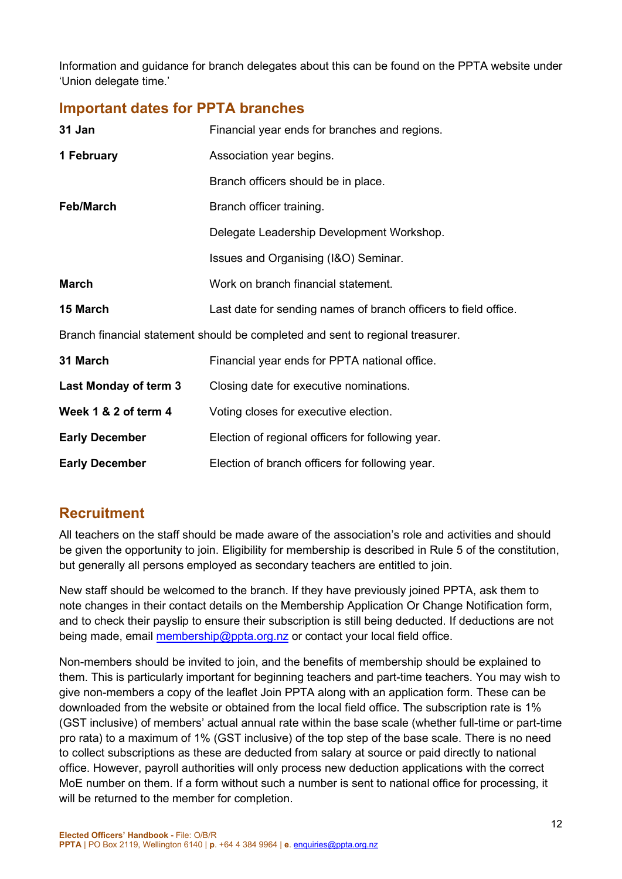Information and guidance for branch delegates about this can be found on the PPTA website under 'Union delegate time.'

### **Important dates for PPTA branches**

| 31 Jan                                                                         | Financial year ends for branches and regions.                   |  |
|--------------------------------------------------------------------------------|-----------------------------------------------------------------|--|
| 1 February                                                                     | Association year begins.                                        |  |
|                                                                                | Branch officers should be in place.                             |  |
| Feb/March                                                                      | Branch officer training.                                        |  |
|                                                                                | Delegate Leadership Development Workshop.                       |  |
|                                                                                | Issues and Organising (I&O) Seminar.                            |  |
| <b>March</b>                                                                   | Work on branch financial statement.                             |  |
| 15 March                                                                       | Last date for sending names of branch officers to field office. |  |
| Branch financial statement should be completed and sent to regional treasurer. |                                                                 |  |
| 31 March                                                                       | Financial year ends for PPTA national office.                   |  |
| <b>Last Monday of term 3</b>                                                   | Closing date for executive nominations.                         |  |
| Week 1 & 2 of term 4                                                           | Voting closes for executive election.                           |  |
| <b>Early December</b>                                                          | Election of regional officers for following year.               |  |
| <b>Early December</b>                                                          | Election of branch officers for following year.                 |  |

### <span id="page-11-0"></span>**Recruitment**

All teachers on the staff should be made aware of the association's role and activities and should be given the opportunity to join. Eligibility for membership is described in Rule 5 of the constitution, but generally all persons employed as secondary teachers are entitled to join.

New staff should be welcomed to the branch. If they have previously joined PPTA, ask them to note changes in their contact details on the Membership Application Or Change Notification form, and to check their payslip to ensure their subscription is still being deducted. If deductions are not being made, email [membership@ppta.org.nz](mailto:membership@ppta.org.nz) or contact your local field office.

Non-members should be invited to join, and the benefits of membership should be explained to them. This is particularly important for beginning teachers and part-time teachers. You may wish to give non-members a copy of the leaflet Join PPTA along with an application form. These can be downloaded from the website or obtained from the local field office. The subscription rate is 1% (GST inclusive) of members' actual annual rate within the base scale (whether full-time or part-time pro rata) to a maximum of 1% (GST inclusive) of the top step of the base scale. There is no need to collect subscriptions as these are deducted from salary at source or paid directly to national office. However, payroll authorities will only process new deduction applications with the correct MoE number on them. If a form without such a number is sent to national office for processing, it will be returned to the member for completion.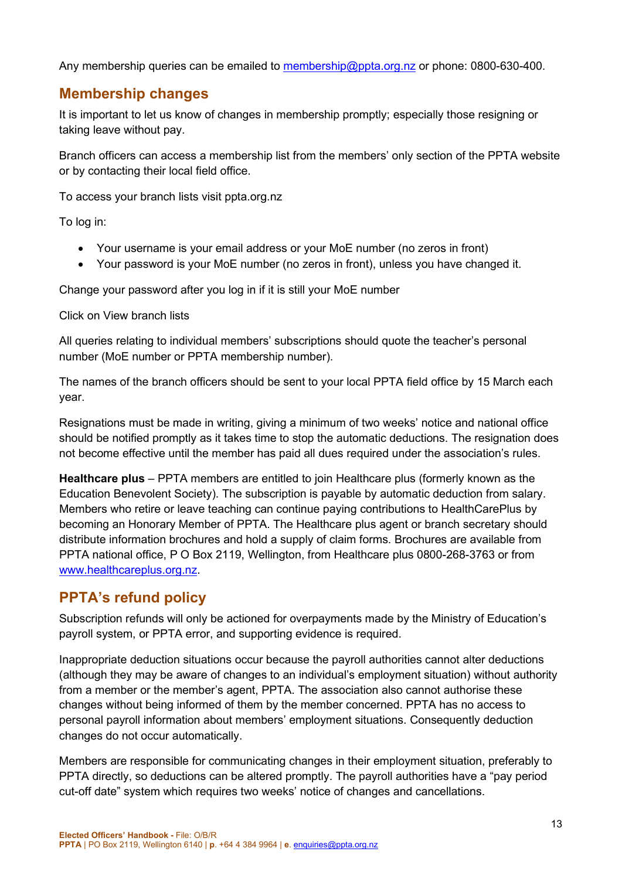Any membership queries can be emailed to membership@ppta.org.nz or phone: 0800-630-400.

### <span id="page-12-0"></span>**Membership changes**

It is important to let us know of changes in membership promptly; especially those resigning or taking leave without pay.

Branch officers can access a membership list from the members' only section of the PPTA website or by contacting their local field office.

To access your branch lists visit ppta.org.nz

To log in:

- Your username is your email address or your MoE number (no zeros in front)
- Your password is your MoE number (no zeros in front), unless you have changed it.

Change your password after you log in if it is still your MoE number

Click on View branch lists

All queries relating to individual members' subscriptions should quote the teacher's personal number (MoE number or PPTA membership number).

The names of the branch officers should be sent to your local PPTA field office by 15 March each year.

Resignations must be made in writing, giving a minimum of two weeks' notice and national office should be notified promptly as it takes time to stop the automatic deductions. The resignation does not become effective until the member has paid all dues required under the association's rules.

**Healthcare plus** – PPTA members are entitled to join Healthcare plus (formerly known as the Education Benevolent Society). The subscription is payable by automatic deduction from salary. Members who retire or leave teaching can continue paying contributions to HealthCarePlus by becoming an Honorary Member of PPTA. The Healthcare plus agent or branch secretary should distribute information brochures and hold a supply of claim forms. Brochures are available from PPTA national office, P O Box 2119, Wellington, from Healthcare plus 0800-268-3763 or from www.healthcareplus.org.nz.

### <span id="page-12-1"></span>**PPTA's refund policy**

Subscription refunds will only be actioned for overpayments made by the Ministry of Education's payroll system, or PPTA error, and supporting evidence is required.

Inappropriate deduction situations occur because the payroll authorities cannot alter deductions (although they may be aware of changes to an individual's employment situation) without authority from a member or the member's agent, PPTA. The association also cannot authorise these changes without being informed of them by the member concerned. PPTA has no access to personal payroll information about members' employment situations. Consequently deduction changes do not occur automatically.

Members are responsible for communicating changes in their employment situation, preferably to PPTA directly, so deductions can be altered promptly. The payroll authorities have a "pay period cut-off date" system which requires two weeks' notice of changes and cancellations.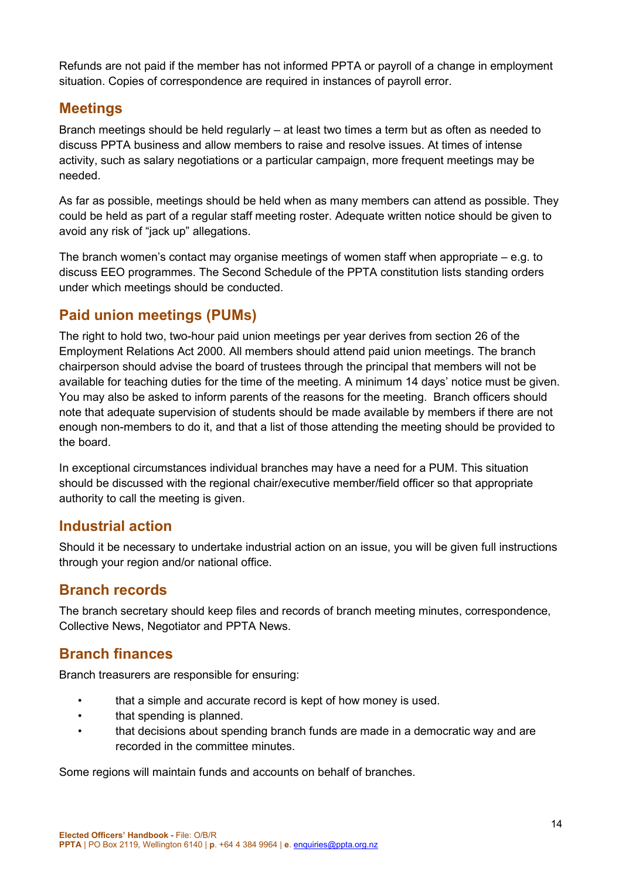Refunds are not paid if the member has not informed PPTA or payroll of a change in employment situation. Copies of correspondence are required in instances of payroll error.

### <span id="page-13-0"></span>**Meetings**

Branch meetings should be held regularly – at least two times a term but as often as needed to discuss PPTA business and allow members to raise and resolve issues. At times of intense activity, such as salary negotiations or a particular campaign, more frequent meetings may be needed.

As far as possible, meetings should be held when as many members can attend as possible. They could be held as part of a regular staff meeting roster. Adequate written notice should be given to avoid any risk of "jack up" allegations.

The branch women's contact may organise meetings of women staff when appropriate – e.g. to discuss EEO programmes. The Second Schedule of the PPTA constitution lists standing orders under which meetings should be conducted.

### <span id="page-13-1"></span>**Paid union meetings (PUMs)**

The right to hold two, two-hour paid union meetings per year derives from section 26 of the Employment Relations Act 2000. All members should attend paid union meetings. The branch chairperson should advise the board of trustees through the principal that members will not be available for teaching duties for the time of the meeting. A minimum 14 days' notice must be given. You may also be asked to inform parents of the reasons for the meeting. Branch officers should note that adequate supervision of students should be made available by members if there are not enough non-members to do it, and that a list of those attending the meeting should be provided to the board.

In exceptional circumstances individual branches may have a need for a PUM. This situation should be discussed with the regional chair/executive member/field officer so that appropriate authority to call the meeting is given.

### <span id="page-13-2"></span>**Industrial action**

Should it be necessary to undertake industrial action on an issue, you will be given full instructions through your region and/or national office.

### <span id="page-13-3"></span>**Branch records**

The branch secretary should keep files and records of branch meeting minutes, correspondence, Collective News, Negotiator and PPTA News.

### <span id="page-13-4"></span>**Branch finances**

Branch treasurers are responsible for ensuring:

- that a simple and accurate record is kept of how money is used.
- that spending is planned.
- that decisions about spending branch funds are made in a democratic way and are recorded in the committee minutes.

Some regions will maintain funds and accounts on behalf of branches.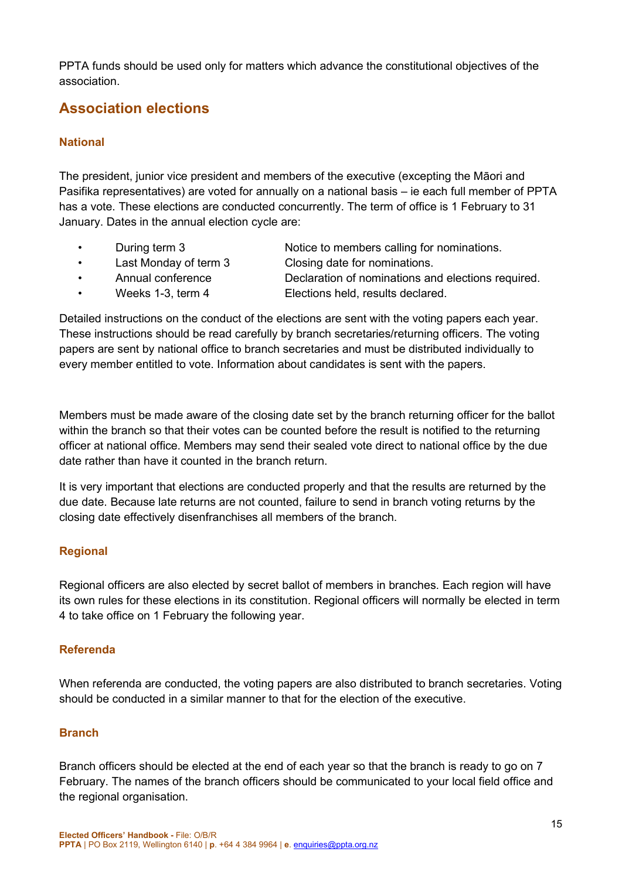PPTA funds should be used only for matters which advance the constitutional objectives of the association.

### <span id="page-14-0"></span>**Association elections**

#### **National**

The president, junior vice president and members of the executive (excepting the Māori and Pasifika representatives) are voted for annually on a national basis – ie each full member of PPTA has a vote. These elections are conducted concurrently. The term of office is 1 February to 31 January. Dates in the annual election cycle are:

• During term 3 Notice to members calling for nominations.

- Last Monday of term 3 Closing date for nominations.
- 
- Annual conference Declaration of nominations and elections required.
	- Weeks 1-3, term 4 Elections held, results declared.

Detailed instructions on the conduct of the elections are sent with the voting papers each year. These instructions should be read carefully by branch secretaries/returning officers. The voting papers are sent by national office to branch secretaries and must be distributed individually to every member entitled to vote. Information about candidates is sent with the papers.

Members must be made aware of the closing date set by the branch returning officer for the ballot within the branch so that their votes can be counted before the result is notified to the returning officer at national office. Members may send their sealed vote direct to national office by the due date rather than have it counted in the branch return.

It is very important that elections are conducted properly and that the results are returned by the due date. Because late returns are not counted, failure to send in branch voting returns by the closing date effectively disenfranchises all members of the branch.

#### **Regional**

Regional officers are also elected by secret ballot of members in branches. Each region will have its own rules for these elections in its constitution. Regional officers will normally be elected in term 4 to take office on 1 February the following year.

#### **Referenda**

When referenda are conducted, the voting papers are also distributed to branch secretaries. Voting should be conducted in a similar manner to that for the election of the executive.

#### **Branch**

Branch officers should be elected at the end of each year so that the branch is ready to go on 7 February. The names of the branch officers should be communicated to your local field office and the regional organisation.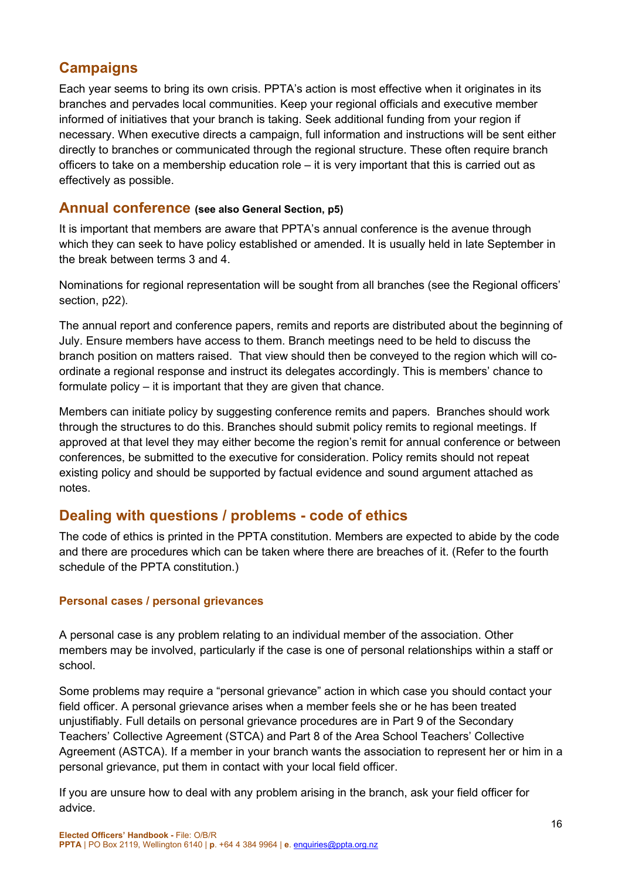### <span id="page-15-0"></span>**Campaigns**

Each year seems to bring its own crisis. PPTA's action is most effective when it originates in its branches and pervades local communities. Keep your regional officials and executive member informed of initiatives that your branch is taking. Seek additional funding from your region if necessary. When executive directs a campaign, full information and instructions will be sent either directly to branches or communicated through the regional structure. These often require branch officers to take on a membership education role – it is very important that this is carried out as effectively as possible.

#### <span id="page-15-1"></span>**Annual conference (see also General Section, p5)**

It is important that members are aware that PPTA's annual conference is the avenue through which they can seek to have policy established or amended. It is usually held in late September in the break between terms 3 and 4.

Nominations for regional representation will be sought from all branches (see the Regional officers' section, p22).

The annual report and conference papers, remits and reports are distributed about the beginning of July. Ensure members have access to them. Branch meetings need to be held to discuss the branch position on matters raised. That view should then be conveyed to the region which will coordinate a regional response and instruct its delegates accordingly. This is members' chance to formulate policy – it is important that they are given that chance.

Members can initiate policy by suggesting conference remits and papers. Branches should work through the structures to do this. Branches should submit policy remits to regional meetings. If approved at that level they may either become the region's remit for annual conference or between conferences, be submitted to the executive for consideration. Policy remits should not repeat existing policy and should be supported by factual evidence and sound argument attached as notes.

### <span id="page-15-2"></span>**Dealing with questions / problems - code of ethics**

The code of ethics is printed in the PPTA constitution. Members are expected to abide by the code and there are procedures which can be taken where there are breaches of it. (Refer to the fourth schedule of the PPTA constitution.)

#### **Personal cases / personal grievances**

A personal case is any problem relating to an individual member of the association. Other members may be involved, particularly if the case is one of personal relationships within a staff or school.

Some problems may require a "personal grievance" action in which case you should contact your field officer. A personal grievance arises when a member feels she or he has been treated unjustifiably. Full details on personal grievance procedures are in Part 9 of the Secondary Teachers' Collective Agreement (STCA) and Part 8 of the Area School Teachers' Collective Agreement (ASTCA). If a member in your branch wants the association to represent her or him in a personal grievance, put them in contact with your local field officer.

If you are unsure how to deal with any problem arising in the branch, ask your field officer for advice.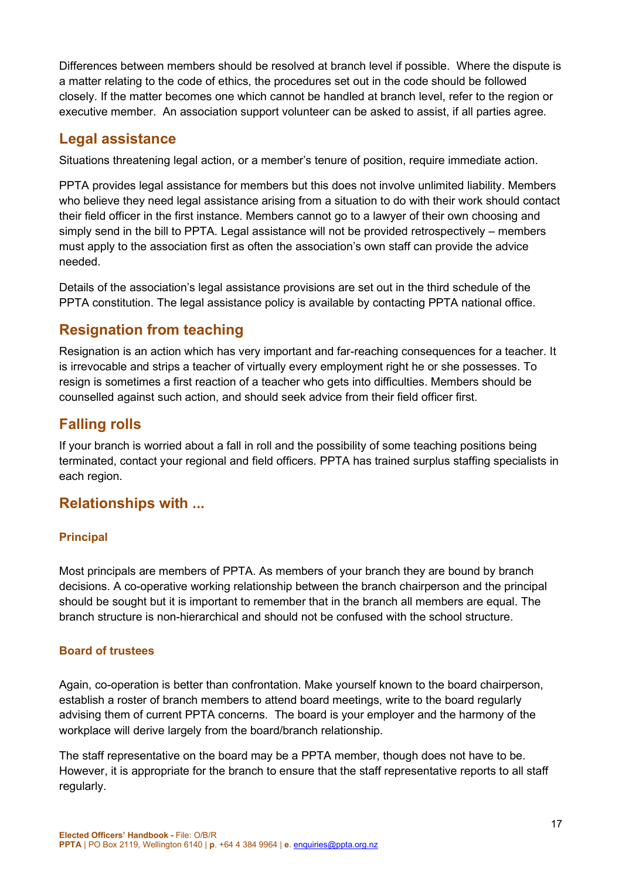Differences between members should be resolved at branch level if possible. Where the dispute is a matter relating to the code of ethics, the procedures set out in the code should be followed closely. If the matter becomes one which cannot be handled at branch level, refer to the region or executive member. An association support volunteer can be asked to assist, if all parties agree.

### <span id="page-16-0"></span>**Legal assistance**

Situations threatening legal action, or a member's tenure of position, require immediate action.

PPTA provides legal assistance for members but this does not involve unlimited liability. Members who believe they need legal assistance arising from a situation to do with their work should contact their field officer in the first instance. Members cannot go to a lawyer of their own choosing and simply send in the bill to PPTA. Legal assistance will not be provided retrospectively – members must apply to the association first as often the association's own staff can provide the advice needed.

Details of the association's legal assistance provisions are set out in the third schedule of the PPTA constitution. The legal assistance policy is available by contacting PPTA national office.

### <span id="page-16-1"></span>**Resignation from teaching**

Resignation is an action which has very important and far-reaching consequences for a teacher. It is irrevocable and strips a teacher of virtually every employment right he or she possesses. To resign is sometimes a first reaction of a teacher who gets into difficulties. Members should be counselled against such action, and should seek advice from their field officer first.

### <span id="page-16-2"></span>**Falling rolls**

If your branch is worried about a fall in roll and the possibility of some teaching positions being terminated, contact your regional and field officers. PPTA has trained surplus staffing specialists in each region.

### <span id="page-16-3"></span>**Relationships with ...**

#### **Principal**

Most principals are members of PPTA. As members of your branch they are bound by branch decisions. A co-operative working relationship between the branch chairperson and the principal should be sought but it is important to remember that in the branch all members are equal. The branch structure is non-hierarchical and should not be confused with the school structure.

#### **Board of trustees**

Again, co-operation is better than confrontation. Make yourself known to the board chairperson, establish a roster of branch members to attend board meetings, write to the board regularly advising them of current PPTA concerns. The board is your employer and the harmony of the workplace will derive largely from the board/branch relationship.

The staff representative on the board may be a PPTA member, though does not have to be. However, it is appropriate for the branch to ensure that the staff representative reports to all staff regularly.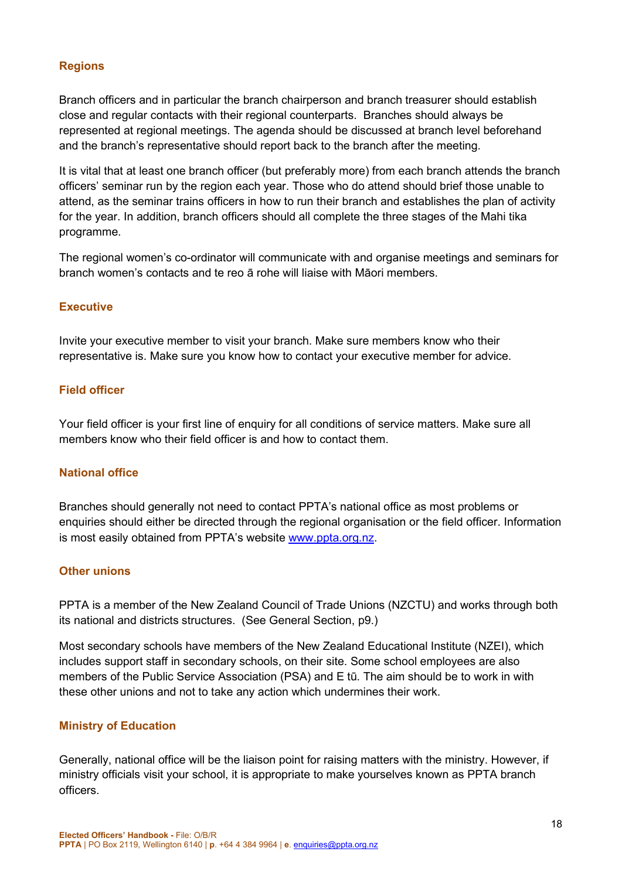#### **Regions**

Branch officers and in particular the branch chairperson and branch treasurer should establish close and regular contacts with their regional counterparts. Branches should always be represented at regional meetings. The agenda should be discussed at branch level beforehand and the branch's representative should report back to the branch after the meeting.

It is vital that at least one branch officer (but preferably more) from each branch attends the branch officers' seminar run by the region each year. Those who do attend should brief those unable to attend, as the seminar trains officers in how to run their branch and establishes the plan of activity for the year. In addition, branch officers should all complete the three stages of the Mahi tika programme.

The regional women's co-ordinator will communicate with and organise meetings and seminars for branch women's contacts and te reo ā rohe will liaise with Māori members.

#### **Executive**

Invite your executive member to visit your branch. Make sure members know who their representative is. Make sure you know how to contact your executive member for advice.

#### **Field officer**

Your field officer is your first line of enquiry for all conditions of service matters. Make sure all members know who their field officer is and how to contact them.

#### **National office**

Branches should generally not need to contact PPTA's national office as most problems or enquiries should either be directed through the regional organisation or the field officer. Information is most easily obtained from PPTA's website www.ppta.org.nz.

#### **Other unions**

PPTA is a member of the New Zealand Council of Trade Unions (NZCTU) and works through both its national and districts structures. (See General Section, p9.)

Most secondary schools have members of the New Zealand Educational Institute (NZEI), which includes support staff in secondary schools, on their site. Some school employees are also members of the Public Service Association (PSA) and E tū. The aim should be to work in with these other unions and not to take any action which undermines their work.

#### **Ministry of Education**

Generally, national office will be the liaison point for raising matters with the ministry. However, if ministry officials visit your school, it is appropriate to make yourselves known as PPTA branch officers.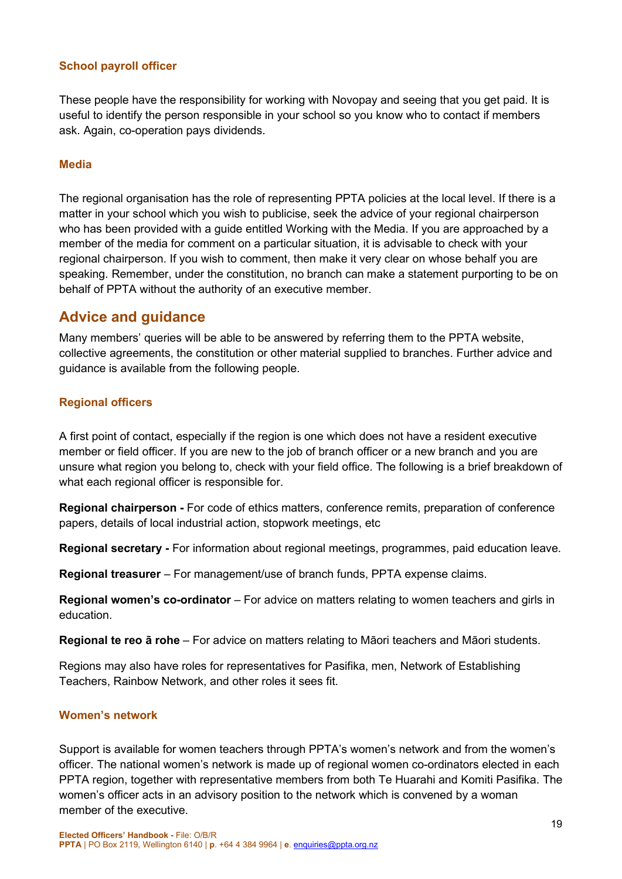#### **School payroll officer**

These people have the responsibility for working with Novopay and seeing that you get paid. It is useful to identify the person responsible in your school so you know who to contact if members ask. Again, co-operation pays dividends.

#### **Media**

The regional organisation has the role of representing PPTA policies at the local level. If there is a matter in your school which you wish to publicise, seek the advice of your regional chairperson who has been provided with a guide entitled Working with the Media. If you are approached by a member of the media for comment on a particular situation, it is advisable to check with your regional chairperson. If you wish to comment, then make it very clear on whose behalf you are speaking. Remember, under the constitution, no branch can make a statement purporting to be on behalf of PPTA without the authority of an executive member.

### <span id="page-18-0"></span>**Advice and guidance**

Many members' queries will be able to be answered by referring them to the PPTA website, collective agreements, the constitution or other material supplied to branches. Further advice and guidance is available from the following people.

#### **Regional officers**

A first point of contact, especially if the region is one which does not have a resident executive member or field officer. If you are new to the job of branch officer or a new branch and you are unsure what region you belong to, check with your field office. The following is a brief breakdown of what each regional officer is responsible for.

**Regional chairperson -** For code of ethics matters, conference remits, preparation of conference papers, details of local industrial action, stopwork meetings, etc

**Regional secretary -** For information about regional meetings, programmes, paid education leave.

**Regional treasurer** – For management/use of branch funds, PPTA expense claims.

**Regional women's co-ordinator** – For advice on matters relating to women teachers and girls in education.

**Regional te reo ā rohe** – For advice on matters relating to Māori teachers and Māori students.

Regions may also have roles for representatives for Pasifika, men, Network of Establishing Teachers, Rainbow Network, and other roles it sees fit.

#### **Women's network**

Support is available for women teachers through PPTA's women's network and from the women's officer. The national women's network is made up of regional women co-ordinators elected in each PPTA region, together with representative members from both Te Huarahi and Komiti Pasifika. The women's officer acts in an advisory position to the network which is convened by a woman member of the executive.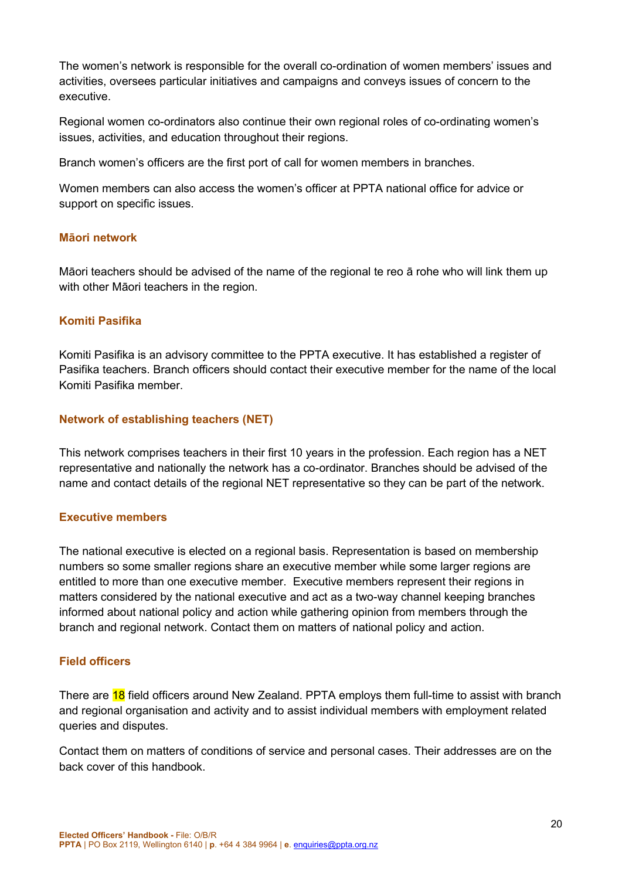The women's network is responsible for the overall co-ordination of women members' issues and activities, oversees particular initiatives and campaigns and conveys issues of concern to the executive.

Regional women co-ordinators also continue their own regional roles of co-ordinating women's issues, activities, and education throughout their regions.

Branch women's officers are the first port of call for women members in branches.

Women members can also access the women's officer at PPTA national office for advice or support on specific issues.

#### **Māori network**

Māori teachers should be advised of the name of the regional te reo ā rohe who will link them up with other Māori teachers in the region.

#### **Komiti Pasifika**

Komiti Pasifika is an advisory committee to the PPTA executive. It has established a register of Pasifika teachers. Branch officers should contact their executive member for the name of the local Komiti Pasifika member.

#### **Network of establishing teachers (NET)**

This network comprises teachers in their first 10 years in the profession. Each region has a NET representative and nationally the network has a co-ordinator. Branches should be advised of the name and contact details of the regional NET representative so they can be part of the network.

#### **Executive members**

The national executive is elected on a regional basis. Representation is based on membership numbers so some smaller regions share an executive member while some larger regions are entitled to more than one executive member. Executive members represent their regions in matters considered by the national executive and act as a two-way channel keeping branches informed about national policy and action while gathering opinion from members through the branch and regional network. Contact them on matters of national policy and action.

#### **Field officers**

There are 18 field officers around New Zealand. PPTA employs them full-time to assist with branch and regional organisation and activity and to assist individual members with employment related queries and disputes.

Contact them on matters of conditions of service and personal cases. Their addresses are on the back cover of this handbook.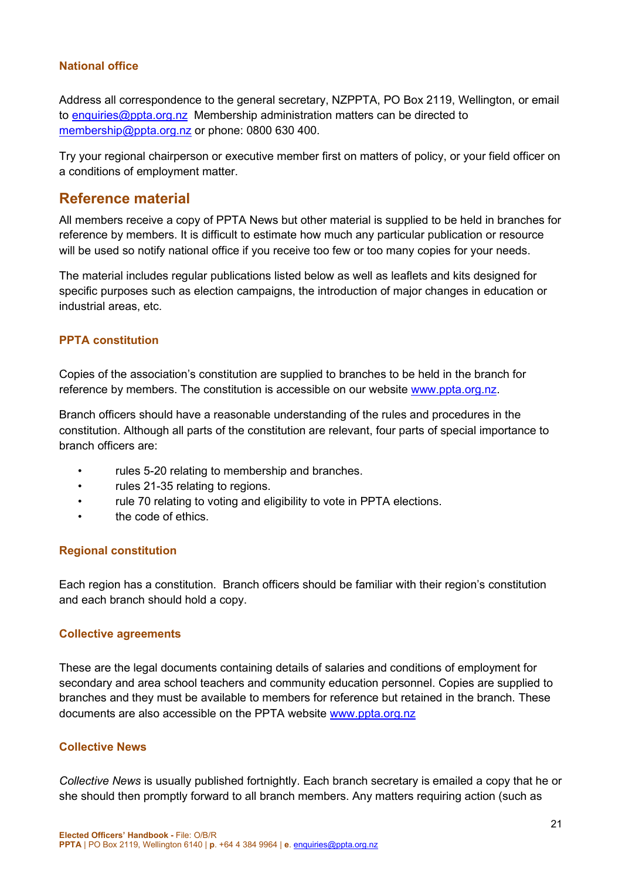#### **National office**

Address all correspondence to the general secretary, NZPPTA, PO Box 2119, Wellington, or email to [enquiries@ppta.org.nz](mailto:enquiries@ppta.org.nz) Membership administration matters can be directed to [membership@ppta.org.nz](mailto:membership@ppta.org.nz) or phone: 0800 630 400.

Try your regional chairperson or executive member first on matters of policy, or your field officer on a conditions of employment matter.

### <span id="page-20-0"></span>**Reference material**

All members receive a copy of PPTA News but other material is supplied to be held in branches for reference by members. It is difficult to estimate how much any particular publication or resource will be used so notify national office if you receive too few or too many copies for your needs.

The material includes regular publications listed below as well as leaflets and kits designed for specific purposes such as election campaigns, the introduction of major changes in education or industrial areas, etc.

#### **PPTA constitution**

Copies of the association's constitution are supplied to branches to be held in the branch for reference by members. The constitution is accessible on our website [www.ppta.org.nz.](http://www.ppta.org.nz/)

Branch officers should have a reasonable understanding of the rules and procedures in the constitution. Although all parts of the constitution are relevant, four parts of special importance to branch officers are:

- rules 5-20 relating to membership and branches.
- rules 21-35 relating to regions.
- rule 70 relating to voting and eligibility to vote in PPTA elections.
- the code of ethics.

#### **Regional constitution**

Each region has a constitution. Branch officers should be familiar with their region's constitution and each branch should hold a copy.

#### **Collective agreements**

These are the legal documents containing details of salaries and conditions of employment for secondary and area school teachers and community education personnel. Copies are supplied to branches and they must be available to members for reference but retained in the branch. These documents are also accessible on the PPTA website [www.ppta.org.nz](http://www.ppta.org.nz/)

#### **Collective News**

*Collective News* is usually published fortnightly. Each branch secretary is emailed a copy that he or she should then promptly forward to all branch members. Any matters requiring action (such as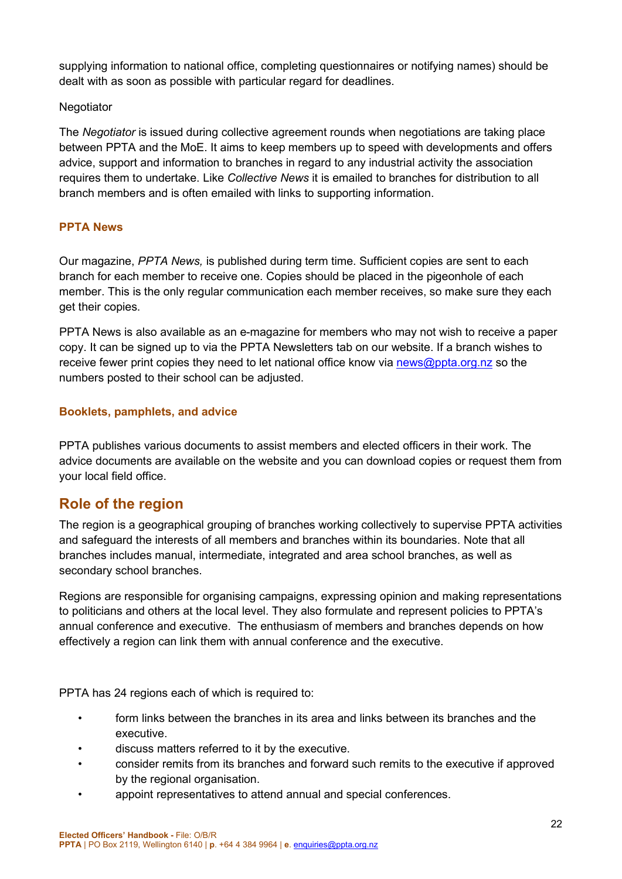supplying information to national office, completing questionnaires or notifying names) should be dealt with as soon as possible with particular regard for deadlines.

#### Negotiator

The *Negotiator* is issued during collective agreement rounds when negotiations are taking place between PPTA and the MoE. It aims to keep members up to speed with developments and offers advice, support and information to branches in regard to any industrial activity the association requires them to undertake. Like *Collective News* it is emailed to branches for distribution to all branch members and is often emailed with links to supporting information.

#### **PPTA News**

Our magazine, *PPTA News,* is published during term time. Sufficient copies are sent to each branch for each member to receive one. Copies should be placed in the pigeonhole of each member. This is the only regular communication each member receives, so make sure they each get their copies.

PPTA News is also available as an e-magazine for members who may not wish to receive a paper copy. It can be signed up to via the PPTA Newsletters tab on our website. If a branch wishes to receive fewer print copies they need to let national office know via [news@ppta.org.nz](mailto:news@ppta.org.nz) so the numbers posted to their school can be adjusted.

#### **Booklets, pamphlets, and advice**

PPTA publishes various documents to assist members and elected officers in their work. The advice documents are available on the website and you can download copies or request them from your local field office.

### <span id="page-21-0"></span>**Role of the region**

The region is a geographical grouping of branches working collectively to supervise PPTA activities and safeguard the interests of all members and branches within its boundaries. Note that all branches includes manual, intermediate, integrated and area school branches, as well as secondary school branches.

Regions are responsible for organising campaigns, expressing opinion and making representations to politicians and others at the local level. They also formulate and represent policies to PPTA's annual conference and executive. The enthusiasm of members and branches depends on how effectively a region can link them with annual conference and the executive.

PPTA has 24 regions each of which is required to:

- form links between the branches in its area and links between its branches and the executive.
- discuss matters referred to it by the executive.
- consider remits from its branches and forward such remits to the executive if approved by the regional organisation.
- appoint representatives to attend annual and special conferences.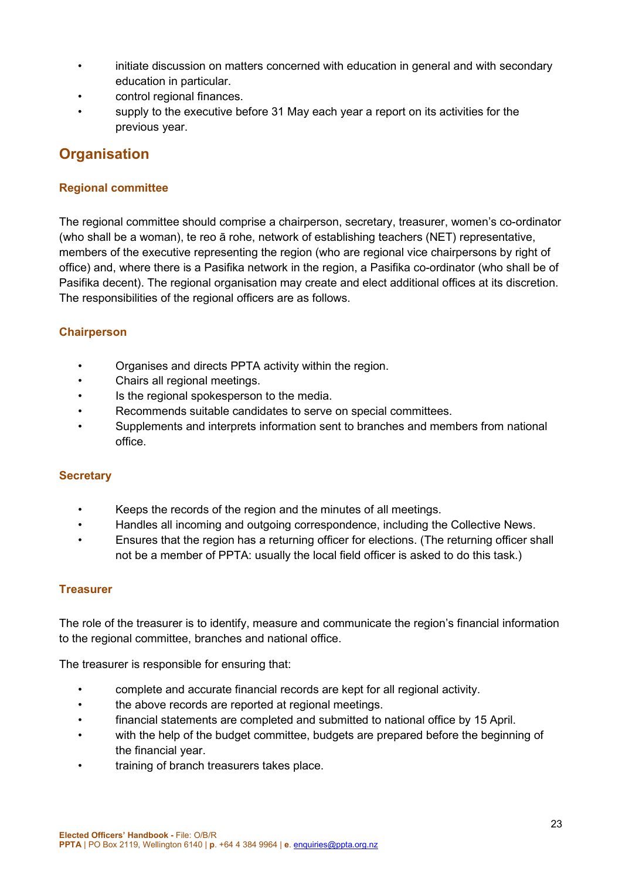- initiate discussion on matters concerned with education in general and with secondary education in particular.
- control regional finances.
- supply to the executive before 31 May each year a report on its activities for the previous year.

### <span id="page-22-0"></span>**Organisation**

#### **Regional committee**

The regional committee should comprise a chairperson, secretary, treasurer, women's co-ordinator (who shall be a woman), te reo ā rohe, network of establishing teachers (NET) representative, members of the executive representing the region (who are regional vice chairpersons by right of office) and, where there is a Pasifika network in the region, a Pasifika co-ordinator (who shall be of Pasifika decent). The regional organisation may create and elect additional offices at its discretion. The responsibilities of the regional officers are as follows.

#### **Chairperson**

- Organises and directs PPTA activity within the region.
- Chairs all regional meetings.
- Is the regional spokesperson to the media.
- Recommends suitable candidates to serve on special committees.
- Supplements and interprets information sent to branches and members from national office.

#### **Secretary**

- Keeps the records of the region and the minutes of all meetings.
- Handles all incoming and outgoing correspondence, including the Collective News.
- Ensures that the region has a returning officer for elections. (The returning officer shall not be a member of PPTA: usually the local field officer is asked to do this task.)

### **Treasurer**

The role of the treasurer is to identify, measure and communicate the region's financial information to the regional committee, branches and national office.

The treasurer is responsible for ensuring that:

- complete and accurate financial records are kept for all regional activity.
- the above records are reported at regional meetings.
- financial statements are completed and submitted to national office by 15 April.
- with the help of the budget committee, budgets are prepared before the beginning of the financial year.
- training of branch treasurers takes place.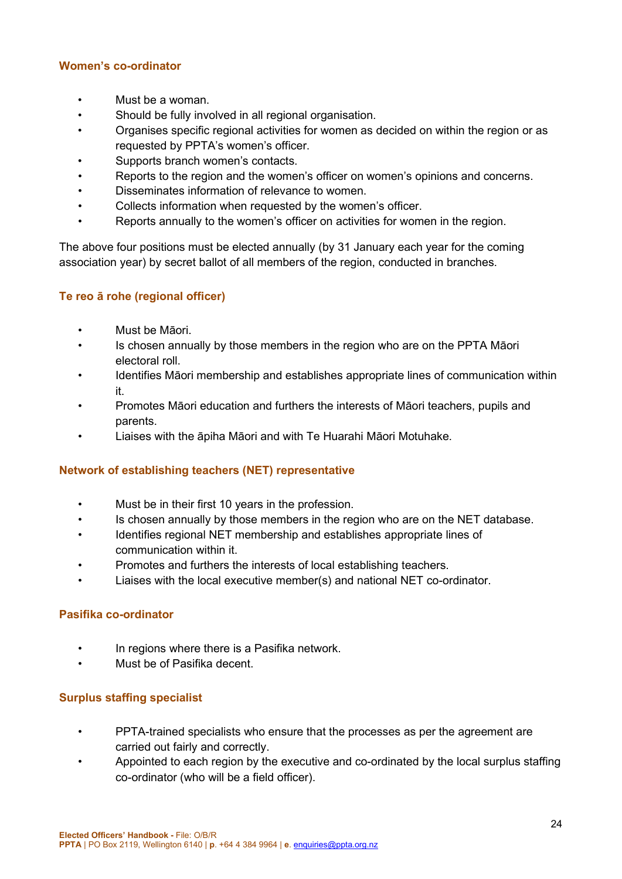#### **Women's co-ordinator**

- Must be a woman.
- Should be fully involved in all regional organisation.
- Organises specific regional activities for women as decided on within the region or as requested by PPTA's women's officer.
- Supports branch women's contacts.
- Reports to the region and the women's officer on women's opinions and concerns.
- Disseminates information of relevance to women.
- Collects information when requested by the women's officer.
- Reports annually to the women's officer on activities for women in the region.

The above four positions must be elected annually (by 31 January each year for the coming association year) by secret ballot of all members of the region, conducted in branches.

#### **Te reo ā rohe (regional officer)**

- Must be Māori.
- Is chosen annually by those members in the region who are on the PPTA Māori electoral roll.
- Identifies Māori membership and establishes appropriate lines of communication within it.
- Promotes Māori education and furthers the interests of Māori teachers, pupils and parents.
- Liaises with the āpiha Māori and with Te Huarahi Māori Motuhake.

#### **Network of establishing teachers (NET) representative**

- Must be in their first 10 years in the profession.
- Is chosen annually by those members in the region who are on the NET database.
- Identifies regional NET membership and establishes appropriate lines of communication within it.
- Promotes and furthers the interests of local establishing teachers.
- Liaises with the local executive member(s) and national NET co-ordinator.

#### **Pasifika co-ordinator**

- In regions where there is a Pasifika network.
- Must be of Pasifika decent.

#### **Surplus staffing specialist**

- PPTA-trained specialists who ensure that the processes as per the agreement are carried out fairly and correctly.
- Appointed to each region by the executive and co-ordinated by the local surplus staffing co-ordinator (who will be a field officer).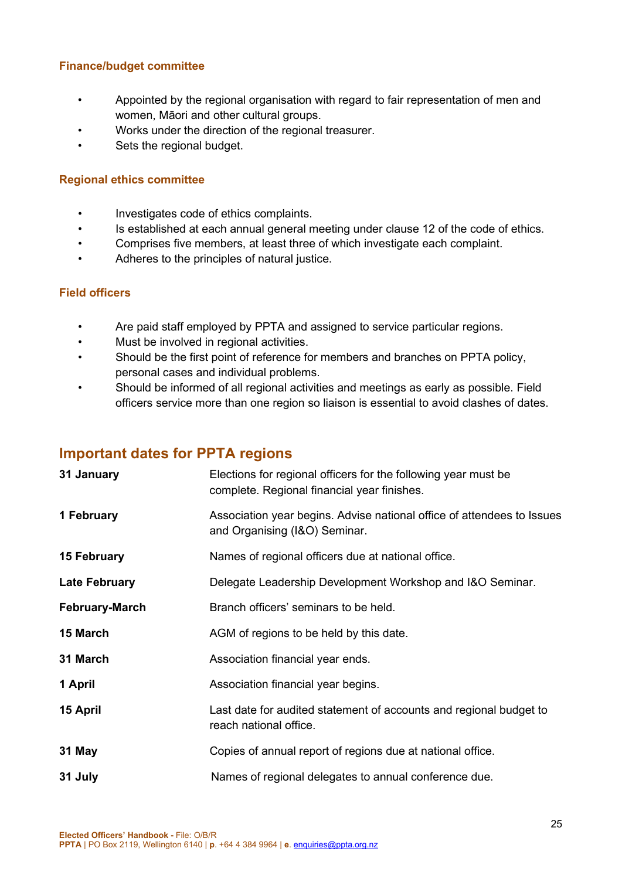#### **Finance/budget committee**

- Appointed by the regional organisation with regard to fair representation of men and women, Māori and other cultural groups.
- Works under the direction of the regional treasurer.
- Sets the regional budget.

#### **Regional ethics committee**

- Investigates code of ethics complaints.
- Is established at each annual general meeting under clause 12 of the code of ethics.
- Comprises five members, at least three of which investigate each complaint.
- Adheres to the principles of natural justice.

#### **Field officers**

- Are paid staff employed by PPTA and assigned to service particular regions.
- Must be involved in regional activities.
- Should be the first point of reference for members and branches on PPTA policy, personal cases and individual problems.
- Should be informed of all regional activities and meetings as early as possible. Field officers service more than one region so liaison is essential to avoid clashes of dates.

### <span id="page-24-0"></span>**Important dates for PPTA regions**

| 31 January            | Elections for regional officers for the following year must be<br>complete. Regional financial year finishes. |
|-----------------------|---------------------------------------------------------------------------------------------------------------|
| 1 February            | Association year begins. Advise national office of attendees to Issues<br>and Organising (I&O) Seminar.       |
| <b>15 February</b>    | Names of regional officers due at national office.                                                            |
| <b>Late February</b>  | Delegate Leadership Development Workshop and I&O Seminar.                                                     |
| <b>February-March</b> | Branch officers' seminars to be held.                                                                         |
| 15 March              | AGM of regions to be held by this date.                                                                       |
| 31 March              | Association financial year ends.                                                                              |
| 1 April               | Association financial year begins.                                                                            |
| 15 April              | Last date for audited statement of accounts and regional budget to<br>reach national office.                  |
| 31 May                | Copies of annual report of regions due at national office.                                                    |
| 31 July               | Names of regional delegates to annual conference due.                                                         |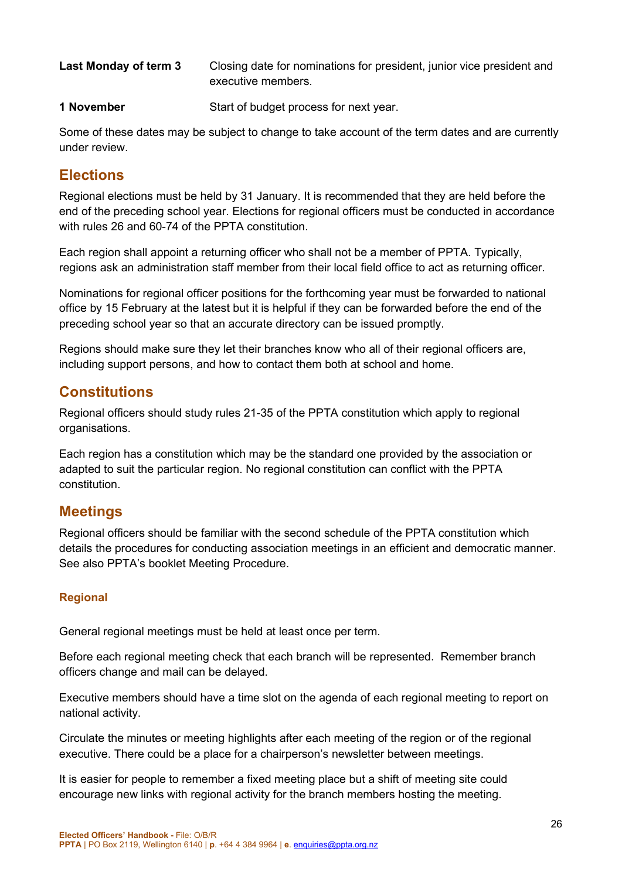**Last Monday of term 3** Closing date for nominations for president, junior vice president and executive members.

**1 November** Start of budget process for next year.

Some of these dates may be subject to change to take account of the term dates and are currently under review.

### <span id="page-25-0"></span>**Elections**

Regional elections must be held by 31 January. It is recommended that they are held before the end of the preceding school year. Elections for regional officers must be conducted in accordance with rules 26 and 60-74 of the PPTA constitution

Each region shall appoint a returning officer who shall not be a member of PPTA. Typically, regions ask an administration staff member from their local field office to act as returning officer.

Nominations for regional officer positions for the forthcoming year must be forwarded to national office by 15 February at the latest but it is helpful if they can be forwarded before the end of the preceding school year so that an accurate directory can be issued promptly.

Regions should make sure they let their branches know who all of their regional officers are, including support persons, and how to contact them both at school and home.

### <span id="page-25-1"></span>**Constitutions**

Regional officers should study rules 21-35 of the PPTA constitution which apply to regional organisations.

Each region has a constitution which may be the standard one provided by the association or adapted to suit the particular region. No regional constitution can conflict with the PPTA constitution.

### <span id="page-25-2"></span>**Meetings**

Regional officers should be familiar with the second schedule of the PPTA constitution which details the procedures for conducting association meetings in an efficient and democratic manner. See also PPTA's booklet Meeting Procedure.

### **Regional**

General regional meetings must be held at least once per term.

Before each regional meeting check that each branch will be represented. Remember branch officers change and mail can be delayed.

Executive members should have a time slot on the agenda of each regional meeting to report on national activity.

Circulate the minutes or meeting highlights after each meeting of the region or of the regional executive. There could be a place for a chairperson's newsletter between meetings.

It is easier for people to remember a fixed meeting place but a shift of meeting site could encourage new links with regional activity for the branch members hosting the meeting.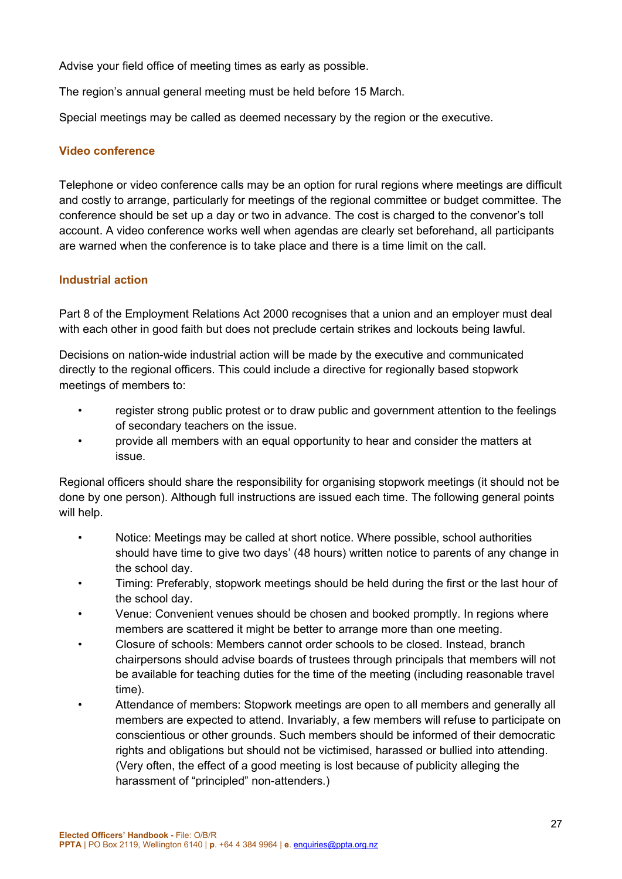Advise your field office of meeting times as early as possible.

The region's annual general meeting must be held before 15 March.

Special meetings may be called as deemed necessary by the region or the executive.

#### **Video conference**

Telephone or video conference calls may be an option for rural regions where meetings are difficult and costly to arrange, particularly for meetings of the regional committee or budget committee. The conference should be set up a day or two in advance. The cost is charged to the convenor's toll account. A video conference works well when agendas are clearly set beforehand, all participants are warned when the conference is to take place and there is a time limit on the call.

#### **Industrial action**

Part 8 of the Employment Relations Act 2000 recognises that a union and an employer must deal with each other in good faith but does not preclude certain strikes and lockouts being lawful.

Decisions on nation-wide industrial action will be made by the executive and communicated directly to the regional officers. This could include a directive for regionally based stopwork meetings of members to:

- register strong public protest or to draw public and government attention to the feelings of secondary teachers on the issue.
- provide all members with an equal opportunity to hear and consider the matters at issue.

Regional officers should share the responsibility for organising stopwork meetings (it should not be done by one person). Although full instructions are issued each time. The following general points will help.

- Notice: Meetings may be called at short notice. Where possible, school authorities should have time to give two days' (48 hours) written notice to parents of any change in the school day.
- Timing: Preferably, stopwork meetings should be held during the first or the last hour of the school day.
- Venue: Convenient venues should be chosen and booked promptly. In regions where members are scattered it might be better to arrange more than one meeting.
- Closure of schools: Members cannot order schools to be closed. Instead, branch chairpersons should advise boards of trustees through principals that members will not be available for teaching duties for the time of the meeting (including reasonable travel time).
- Attendance of members: Stopwork meetings are open to all members and generally all members are expected to attend. Invariably, a few members will refuse to participate on conscientious or other grounds. Such members should be informed of their democratic rights and obligations but should not be victimised, harassed or bullied into attending. (Very often, the effect of a good meeting is lost because of publicity alleging the harassment of "principled" non-attenders.)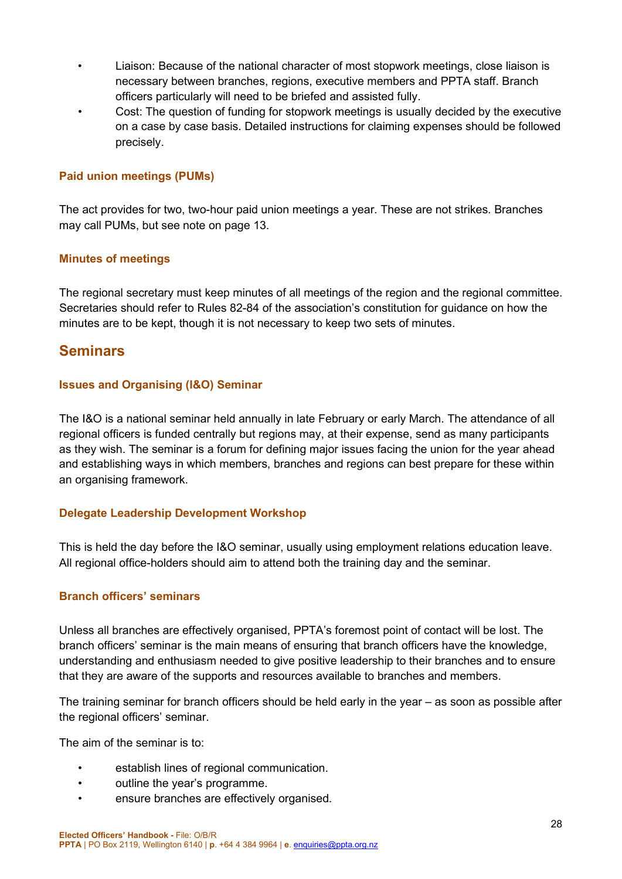- Liaison: Because of the national character of most stopwork meetings, close liaison is necessary between branches, regions, executive members and PPTA staff. Branch officers particularly will need to be briefed and assisted fully.
	- Cost: The question of funding for stopwork meetings is usually decided by the executive on a case by case basis. Detailed instructions for claiming expenses should be followed precisely.

#### **Paid union meetings (PUMs)**

The act provides for two, two-hour paid union meetings a year. These are not strikes. Branches may call PUMs, but see note on page 13.

#### **Minutes of meetings**

The regional secretary must keep minutes of all meetings of the region and the regional committee. Secretaries should refer to Rules 82-84 of the association's constitution for guidance on how the minutes are to be kept, though it is not necessary to keep two sets of minutes.

#### <span id="page-27-0"></span>**Seminars**

#### **Issues and Organising (I&O) Seminar**

The I&O is a national seminar held annually in late February or early March. The attendance of all regional officers is funded centrally but regions may, at their expense, send as many participants as they wish. The seminar is a forum for defining major issues facing the union for the year ahead and establishing ways in which members, branches and regions can best prepare for these within an organising framework.

#### **Delegate Leadership Development Workshop**

This is held the day before the I&O seminar, usually using employment relations education leave. All regional office-holders should aim to attend both the training day and the seminar.

#### **Branch officers' seminars**

Unless all branches are effectively organised, PPTA's foremost point of contact will be lost. The branch officers' seminar is the main means of ensuring that branch officers have the knowledge, understanding and enthusiasm needed to give positive leadership to their branches and to ensure that they are aware of the supports and resources available to branches and members.

The training seminar for branch officers should be held early in the year – as soon as possible after the regional officers' seminar.

The aim of the seminar is to:

- establish lines of regional communication.
- outline the year's programme.
- ensure branches are effectively organised.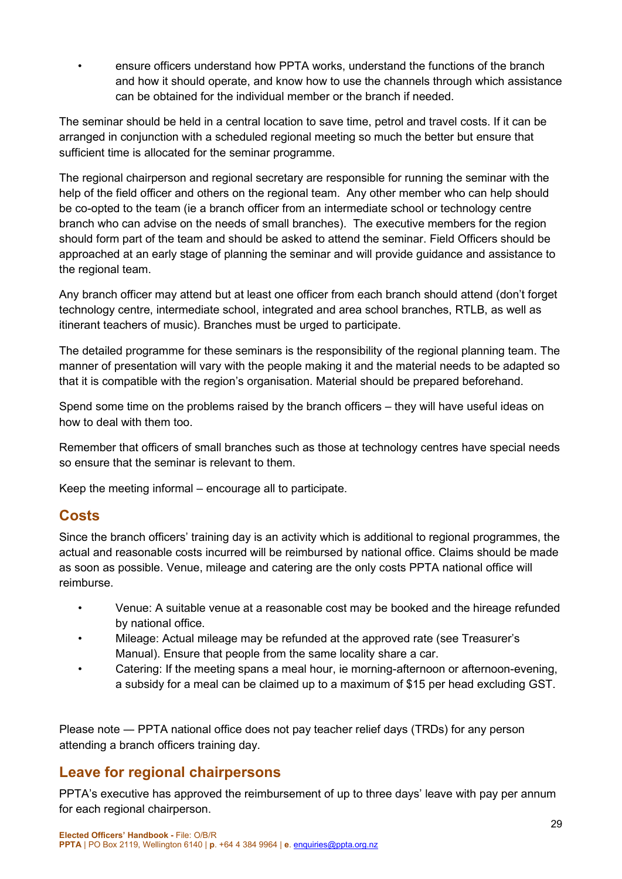• ensure officers understand how PPTA works, understand the functions of the branch and how it should operate, and know how to use the channels through which assistance can be obtained for the individual member or the branch if needed.

The seminar should be held in a central location to save time, petrol and travel costs. If it can be arranged in conjunction with a scheduled regional meeting so much the better but ensure that sufficient time is allocated for the seminar programme.

The regional chairperson and regional secretary are responsible for running the seminar with the help of the field officer and others on the regional team. Any other member who can help should be co-opted to the team (ie a branch officer from an intermediate school or technology centre branch who can advise on the needs of small branches). The executive members for the region should form part of the team and should be asked to attend the seminar. Field Officers should be approached at an early stage of planning the seminar and will provide guidance and assistance to the regional team.

Any branch officer may attend but at least one officer from each branch should attend (don't forget technology centre, intermediate school, integrated and area school branches, RTLB, as well as itinerant teachers of music). Branches must be urged to participate.

The detailed programme for these seminars is the responsibility of the regional planning team. The manner of presentation will vary with the people making it and the material needs to be adapted so that it is compatible with the region's organisation. Material should be prepared beforehand.

Spend some time on the problems raised by the branch officers – they will have useful ideas on how to deal with them too.

Remember that officers of small branches such as those at technology centres have special needs so ensure that the seminar is relevant to them.

Keep the meeting informal – encourage all to participate.

### <span id="page-28-0"></span>**Costs**

Since the branch officers' training day is an activity which is additional to regional programmes, the actual and reasonable costs incurred will be reimbursed by national office. Claims should be made as soon as possible. Venue, mileage and catering are the only costs PPTA national office will reimburse.

- Venue: A suitable venue at a reasonable cost may be booked and the hireage refunded by national office.
- Mileage: Actual mileage may be refunded at the approved rate (see Treasurer's Manual). Ensure that people from the same locality share a car.
- Catering: If the meeting spans a meal hour, ie morning-afternoon or afternoon-evening, a subsidy for a meal can be claimed up to a maximum of \$15 per head excluding GST.

Please note ― PPTA national office does not pay teacher relief days (TRDs) for any person attending a branch officers training day.

### <span id="page-28-1"></span>**Leave for regional chairpersons**

PPTA's executive has approved the reimbursement of up to three days' leave with pay per annum for each regional chairperson.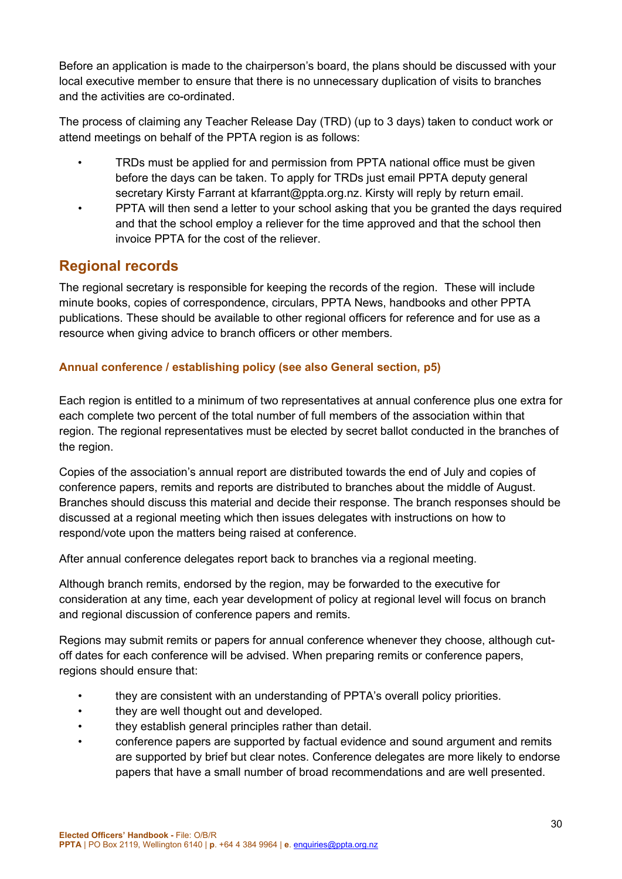Before an application is made to the chairperson's board, the plans should be discussed with your local executive member to ensure that there is no unnecessary duplication of visits to branches and the activities are co-ordinated.

The process of claiming any Teacher Release Day (TRD) (up to 3 days) taken to conduct work or attend meetings on behalf of the PPTA region is as follows:

- TRDs must be applied for and permission from PPTA national office must be given before the days can be taken. To apply for TRDs just email PPTA deputy general secretary Kirsty Farrant at kfarrant@ppta.org.nz. Kirsty will reply by return email.
- PPTA will then send a letter to your school asking that you be granted the days required and that the school employ a reliever for the time approved and that the school then invoice PPTA for the cost of the reliever.

### <span id="page-29-0"></span>**Regional records**

The regional secretary is responsible for keeping the records of the region. These will include minute books, copies of correspondence, circulars, PPTA News, handbooks and other PPTA publications. These should be available to other regional officers for reference and for use as a resource when giving advice to branch officers or other members.

### **Annual conference / establishing policy (see also General section, p5)**

Each region is entitled to a minimum of two representatives at annual conference plus one extra for each complete two percent of the total number of full members of the association within that region. The regional representatives must be elected by secret ballot conducted in the branches of the region.

Copies of the association's annual report are distributed towards the end of July and copies of conference papers, remits and reports are distributed to branches about the middle of August. Branches should discuss this material and decide their response. The branch responses should be discussed at a regional meeting which then issues delegates with instructions on how to respond/vote upon the matters being raised at conference.

After annual conference delegates report back to branches via a regional meeting.

Although branch remits, endorsed by the region, may be forwarded to the executive for consideration at any time, each year development of policy at regional level will focus on branch and regional discussion of conference papers and remits.

Regions may submit remits or papers for annual conference whenever they choose, although cutoff dates for each conference will be advised. When preparing remits or conference papers, regions should ensure that:

- they are consistent with an understanding of PPTA's overall policy priorities.
- they are well thought out and developed.
- they establish general principles rather than detail.
- conference papers are supported by factual evidence and sound argument and remits are supported by brief but clear notes. Conference delegates are more likely to endorse papers that have a small number of broad recommendations and are well presented.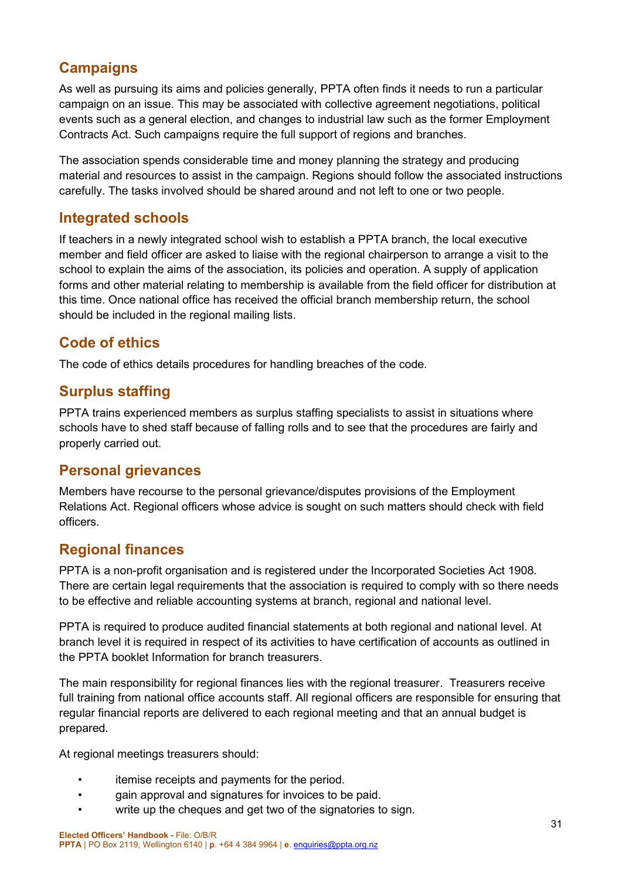### <span id="page-30-0"></span>**Campaigns**

As well as pursuing its aims and policies generally, PPTA often finds it needs to run a particular campaign on an issue. This may be associated with collective agreement negotiations, political events such as a general election, and changes to industrial law such as the former Employment Contracts Act. Such campaigns require the full support of regions and branches.

The association spends considerable time and money planning the strategy and producing material and resources to assist in the campaign. Regions should follow the associated instructions carefully. The tasks involved should be shared around and not left to one or two people.

### <span id="page-30-1"></span>**Integrated schools**

If teachers in a newly integrated school wish to establish a PPTA branch, the local executive member and field officer are asked to liaise with the regional chairperson to arrange a visit to the school to explain the aims of the association, its policies and operation. A supply of application forms and other material relating to membership is available from the field officer for distribution at this time. Once national office has received the official branch membership return, the school should be included in the regional mailing lists.

### <span id="page-30-2"></span>**Code of ethics**

The code of ethics details procedures for handling breaches of the code.

### <span id="page-30-3"></span>**Surplus staffing**

PPTA trains experienced members as surplus staffing specialists to assist in situations where schools have to shed staff because of falling rolls and to see that the procedures are fairly and properly carried out.

### <span id="page-30-4"></span>**Personal grievances**

Members have recourse to the personal grievance/disputes provisions of the Employment Relations Act. Regional officers whose advice is sought on such matters should check with field officers.

### <span id="page-30-5"></span>**Regional finances**

PPTA is a non-profit organisation and is registered under the Incorporated Societies Act 1908. There are certain legal requirements that the association is required to comply with so there needs to be effective and reliable accounting systems at branch, regional and national level.

PPTA is required to produce audited financial statements at both regional and national level. At branch level it is required in respect of its activities to have certification of accounts as outlined in the PPTA booklet Information for branch treasurers.

The main responsibility for regional finances lies with the regional treasurer. Treasurers receive full training from national office accounts staff. All regional officers are responsible for ensuring that regular financial reports are delivered to each regional meeting and that an annual budget is prepared.

At regional meetings treasurers should:

- itemise receipts and payments for the period.
- gain approval and signatures for invoices to be paid.
- write up the cheques and get two of the signatories to sign.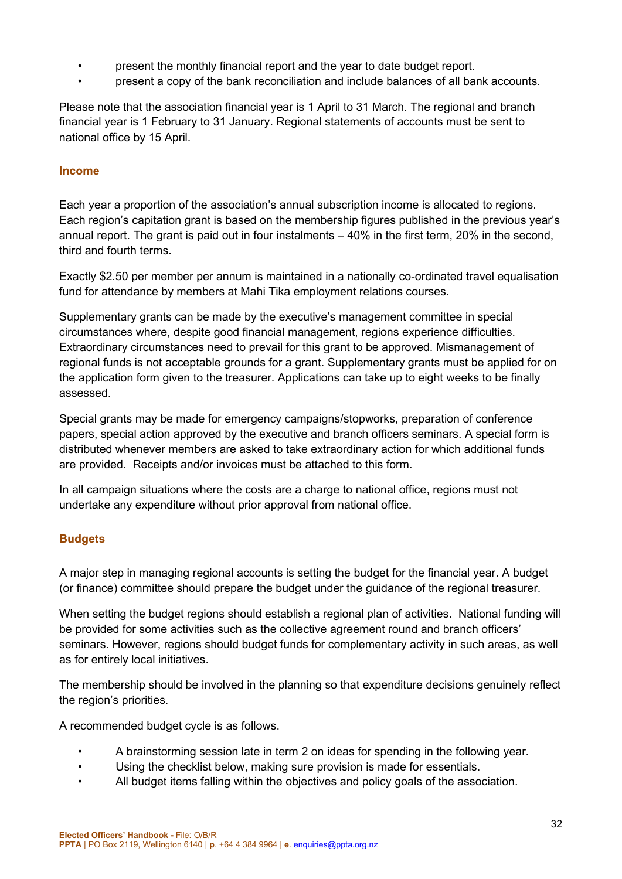- present the monthly financial report and the year to date budget report.
- present a copy of the bank reconciliation and include balances of all bank accounts.

Please note that the association financial year is 1 April to 31 March. The regional and branch financial year is 1 February to 31 January. Regional statements of accounts must be sent to national office by 15 April.

#### **Income**

Each year a proportion of the association's annual subscription income is allocated to regions. Each region's capitation grant is based on the membership figures published in the previous year's annual report. The grant is paid out in four instalments – 40% in the first term, 20% in the second, third and fourth terms.

Exactly \$2.50 per member per annum is maintained in a nationally co-ordinated travel equalisation fund for attendance by members at Mahi Tika employment relations courses.

Supplementary grants can be made by the executive's management committee in special circumstances where, despite good financial management, regions experience difficulties. Extraordinary circumstances need to prevail for this grant to be approved. Mismanagement of regional funds is not acceptable grounds for a grant. Supplementary grants must be applied for on the application form given to the treasurer. Applications can take up to eight weeks to be finally assessed.

Special grants may be made for emergency campaigns/stopworks, preparation of conference papers, special action approved by the executive and branch officers seminars. A special form is distributed whenever members are asked to take extraordinary action for which additional funds are provided. Receipts and/or invoices must be attached to this form.

In all campaign situations where the costs are a charge to national office, regions must not undertake any expenditure without prior approval from national office.

#### **Budgets**

A major step in managing regional accounts is setting the budget for the financial year. A budget (or finance) committee should prepare the budget under the guidance of the regional treasurer.

When setting the budget regions should establish a regional plan of activities. National funding will be provided for some activities such as the collective agreement round and branch officers' seminars. However, regions should budget funds for complementary activity in such areas, as well as for entirely local initiatives.

The membership should be involved in the planning so that expenditure decisions genuinely reflect the region's priorities.

A recommended budget cycle is as follows.

- A brainstorming session late in term 2 on ideas for spending in the following year.
- Using the checklist below, making sure provision is made for essentials.
- All budget items falling within the objectives and policy goals of the association.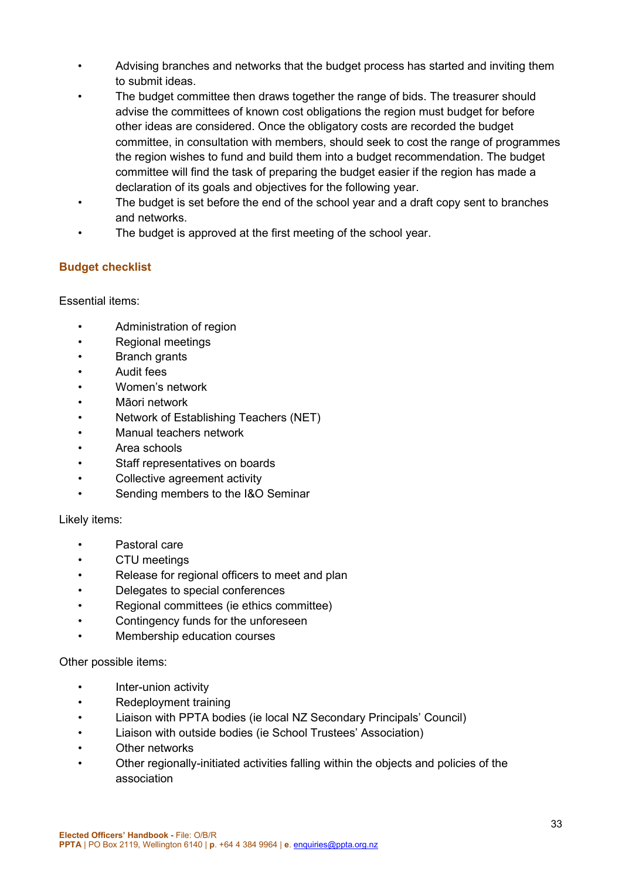- Advising branches and networks that the budget process has started and inviting them to submit ideas.
- The budget committee then draws together the range of bids. The treasurer should advise the committees of known cost obligations the region must budget for before other ideas are considered. Once the obligatory costs are recorded the budget committee, in consultation with members, should seek to cost the range of programmes the region wishes to fund and build them into a budget recommendation. The budget committee will find the task of preparing the budget easier if the region has made a declaration of its goals and objectives for the following year.
- The budget is set before the end of the school year and a draft copy sent to branches and networks.
- The budget is approved at the first meeting of the school year.

### **Budget checklist**

#### Essential items:

- Administration of region
- Regional meetings
- **Branch grants**
- Audit fees
- Women's network
- Māori network
- Network of Establishing Teachers (NET)
- Manual teachers network
- Area schools
- Staff representatives on boards
- Collective agreement activity
- Sending members to the I&O Seminar

#### Likely items:

- Pastoral care
- CTU meetings
- Release for regional officers to meet and plan
- Delegates to special conferences
- Regional committees (ie ethics committee)
- Contingency funds for the unforeseen
- Membership education courses

Other possible items:

- Inter-union activity
- Redeployment training
- Liaison with PPTA bodies (ie local NZ Secondary Principals' Council)
- Liaison with outside bodies (ie School Trustees' Association)
- Other networks
- Other regionally-initiated activities falling within the objects and policies of the association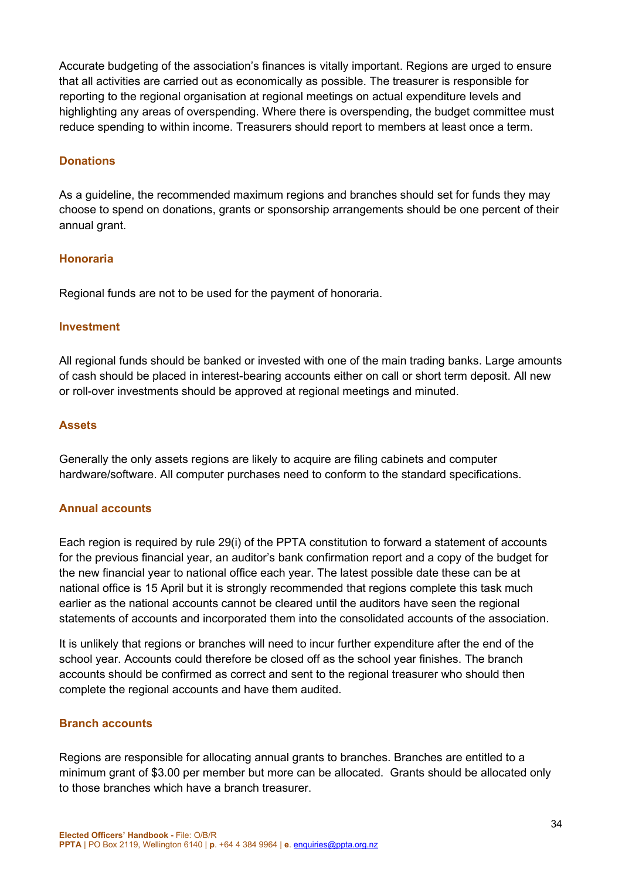Accurate budgeting of the association's finances is vitally important. Regions are urged to ensure that all activities are carried out as economically as possible. The treasurer is responsible for reporting to the regional organisation at regional meetings on actual expenditure levels and highlighting any areas of overspending. Where there is overspending, the budget committee must reduce spending to within income. Treasurers should report to members at least once a term.

#### **Donations**

As a guideline, the recommended maximum regions and branches should set for funds they may choose to spend on donations, grants or sponsorship arrangements should be one percent of their annual grant.

#### **Honoraria**

Regional funds are not to be used for the payment of honoraria.

#### **Investment**

All regional funds should be banked or invested with one of the main trading banks. Large amounts of cash should be placed in interest-bearing accounts either on call or short term deposit. All new or roll-over investments should be approved at regional meetings and minuted.

#### **Assets**

Generally the only assets regions are likely to acquire are filing cabinets and computer hardware/software. All computer purchases need to conform to the standard specifications.

#### **Annual accounts**

Each region is required by rule 29(i) of the PPTA constitution to forward a statement of accounts for the previous financial year, an auditor's bank confirmation report and a copy of the budget for the new financial year to national office each year. The latest possible date these can be at national office is 15 April but it is strongly recommended that regions complete this task much earlier as the national accounts cannot be cleared until the auditors have seen the regional statements of accounts and incorporated them into the consolidated accounts of the association.

It is unlikely that regions or branches will need to incur further expenditure after the end of the school year. Accounts could therefore be closed off as the school year finishes. The branch accounts should be confirmed as correct and sent to the regional treasurer who should then complete the regional accounts and have them audited.

#### **Branch accounts**

Regions are responsible for allocating annual grants to branches. Branches are entitled to a minimum grant of \$3.00 per member but more can be allocated. Grants should be allocated only to those branches which have a branch treasurer.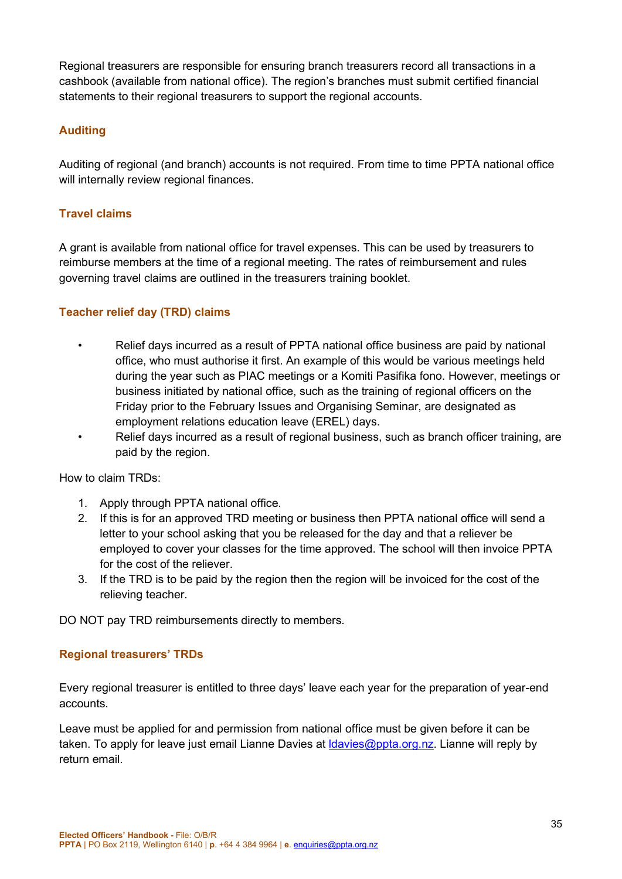Regional treasurers are responsible for ensuring branch treasurers record all transactions in a cashbook (available from national office). The region's branches must submit certified financial statements to their regional treasurers to support the regional accounts.

#### **Auditing**

Auditing of regional (and branch) accounts is not required. From time to time PPTA national office will internally review regional finances.

#### **Travel claims**

A grant is available from national office for travel expenses. This can be used by treasurers to reimburse members at the time of a regional meeting. The rates of reimbursement and rules governing travel claims are outlined in the treasurers training booklet.

#### **Teacher relief day (TRD) claims**

- Relief days incurred as a result of PPTA national office business are paid by national office, who must authorise it first. An example of this would be various meetings held during the year such as PIAC meetings or a Komiti Pasifika fono. However, meetings or business initiated by national office, such as the training of regional officers on the Friday prior to the February Issues and Organising Seminar, are designated as employment relations education leave (EREL) days.
- Relief days incurred as a result of regional business, such as branch officer training, are paid by the region.

How to claim TRDs:

- 1. Apply through PPTA national office.
- 2. If this is for an approved TRD meeting or business then PPTA national office will send a letter to your school asking that you be released for the day and that a reliever be employed to cover your classes for the time approved. The school will then invoice PPTA for the cost of the reliever.
- 3. If the TRD is to be paid by the region then the region will be invoiced for the cost of the relieving teacher.

DO NOT pay TRD reimbursements directly to members.

#### **Regional treasurers' TRDs**

Every regional treasurer is entitled to three days' leave each year for the preparation of year-end accounts.

Leave must be applied for and permission from national office must be given before it can be taken. To apply for leave just email Lianne Davies at Idavies@ppta.org.nz. Lianne will reply by return email.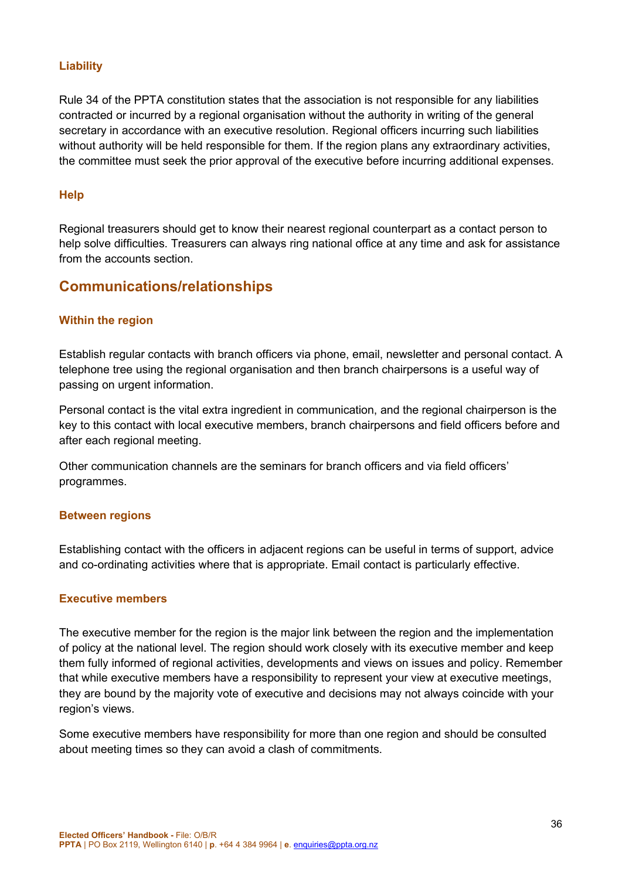#### **Liability**

Rule 34 of the PPTA constitution states that the association is not responsible for any liabilities contracted or incurred by a regional organisation without the authority in writing of the general secretary in accordance with an executive resolution. Regional officers incurring such liabilities without authority will be held responsible for them. If the region plans any extraordinary activities, the committee must seek the prior approval of the executive before incurring additional expenses.

#### **Help**

Regional treasurers should get to know their nearest regional counterpart as a contact person to help solve difficulties. Treasurers can always ring national office at any time and ask for assistance from the accounts section.

### <span id="page-35-0"></span>**Communications/relationships**

#### **Within the region**

Establish regular contacts with branch officers via phone, email, newsletter and personal contact. A telephone tree using the regional organisation and then branch chairpersons is a useful way of passing on urgent information.

Personal contact is the vital extra ingredient in communication, and the regional chairperson is the key to this contact with local executive members, branch chairpersons and field officers before and after each regional meeting.

Other communication channels are the seminars for branch officers and via field officers' programmes.

#### **Between regions**

Establishing contact with the officers in adjacent regions can be useful in terms of support, advice and co-ordinating activities where that is appropriate. Email contact is particularly effective.

#### **Executive members**

The executive member for the region is the major link between the region and the implementation of policy at the national level. The region should work closely with its executive member and keep them fully informed of regional activities, developments and views on issues and policy. Remember that while executive members have a responsibility to represent your view at executive meetings, they are bound by the majority vote of executive and decisions may not always coincide with your region's views.

Some executive members have responsibility for more than one region and should be consulted about meeting times so they can avoid a clash of commitments.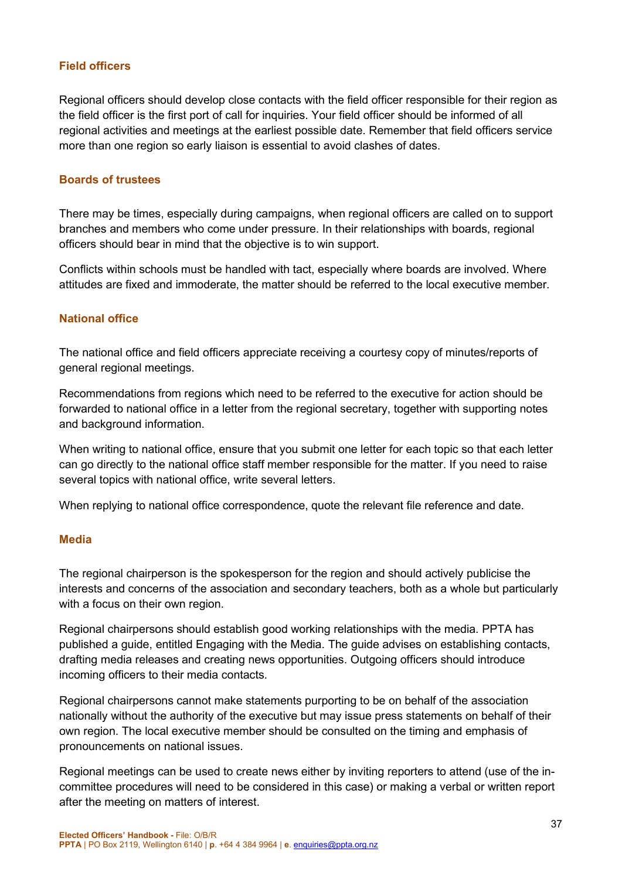#### **Field officers**

Regional officers should develop close contacts with the field officer responsible for their region as the field officer is the first port of call for inquiries. Your field officer should be informed of all regional activities and meetings at the earliest possible date. Remember that field officers service more than one region so early liaison is essential to avoid clashes of dates.

#### **Boards of trustees**

There may be times, especially during campaigns, when regional officers are called on to support branches and members who come under pressure. In their relationships with boards, regional officers should bear in mind that the objective is to win support.

Conflicts within schools must be handled with tact, especially where boards are involved. Where attitudes are fixed and immoderate, the matter should be referred to the local executive member.

#### **National office**

The national office and field officers appreciate receiving a courtesy copy of minutes/reports of general regional meetings.

Recommendations from regions which need to be referred to the executive for action should be forwarded to national office in a letter from the regional secretary, together with supporting notes and background information.

When writing to national office, ensure that you submit one letter for each topic so that each letter can go directly to the national office staff member responsible for the matter. If you need to raise several topics with national office, write several letters.

When replying to national office correspondence, quote the relevant file reference and date.

#### **Media**

The regional chairperson is the spokesperson for the region and should actively publicise the interests and concerns of the association and secondary teachers, both as a whole but particularly with a focus on their own region.

Regional chairpersons should establish good working relationships with the media. PPTA has published a guide, entitled Engaging with the Media. The guide advises on establishing contacts, drafting media releases and creating news opportunities. Outgoing officers should introduce incoming officers to their media contacts.

Regional chairpersons cannot make statements purporting to be on behalf of the association nationally without the authority of the executive but may issue press statements on behalf of their own region. The local executive member should be consulted on the timing and emphasis of pronouncements on national issues.

Regional meetings can be used to create news either by inviting reporters to attend (use of the incommittee procedures will need to be considered in this case) or making a verbal or written report after the meeting on matters of interest.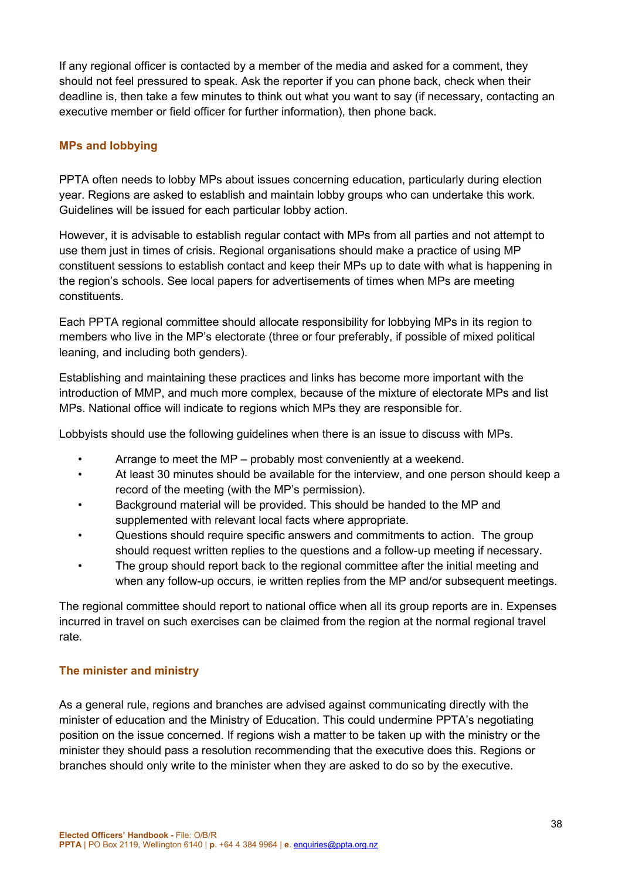If any regional officer is contacted by a member of the media and asked for a comment, they should not feel pressured to speak. Ask the reporter if you can phone back, check when their deadline is, then take a few minutes to think out what you want to say (if necessary, contacting an executive member or field officer for further information), then phone back.

#### **MPs and lobbying**

PPTA often needs to lobby MPs about issues concerning education, particularly during election year. Regions are asked to establish and maintain lobby groups who can undertake this work. Guidelines will be issued for each particular lobby action.

However, it is advisable to establish regular contact with MPs from all parties and not attempt to use them just in times of crisis. Regional organisations should make a practice of using MP constituent sessions to establish contact and keep their MPs up to date with what is happening in the region's schools. See local papers for advertisements of times when MPs are meeting constituents.

Each PPTA regional committee should allocate responsibility for lobbying MPs in its region to members who live in the MP's electorate (three or four preferably, if possible of mixed political leaning, and including both genders).

Establishing and maintaining these practices and links has become more important with the introduction of MMP, and much more complex, because of the mixture of electorate MPs and list MPs. National office will indicate to regions which MPs they are responsible for.

Lobbyists should use the following guidelines when there is an issue to discuss with MPs.

- Arrange to meet the MP probably most conveniently at a weekend.
- At least 30 minutes should be available for the interview, and one person should keep a record of the meeting (with the MP's permission).
- Background material will be provided. This should be handed to the MP and supplemented with relevant local facts where appropriate.
- Questions should require specific answers and commitments to action. The group should request written replies to the questions and a follow-up meeting if necessary.
- The group should report back to the regional committee after the initial meeting and when any follow-up occurs, ie written replies from the MP and/or subsequent meetings.

The regional committee should report to national office when all its group reports are in. Expenses incurred in travel on such exercises can be claimed from the region at the normal regional travel rate.

#### **The minister and ministry**

As a general rule, regions and branches are advised against communicating directly with the minister of education and the Ministry of Education. This could undermine PPTA's negotiating position on the issue concerned. If regions wish a matter to be taken up with the ministry or the minister they should pass a resolution recommending that the executive does this. Regions or branches should only write to the minister when they are asked to do so by the executive.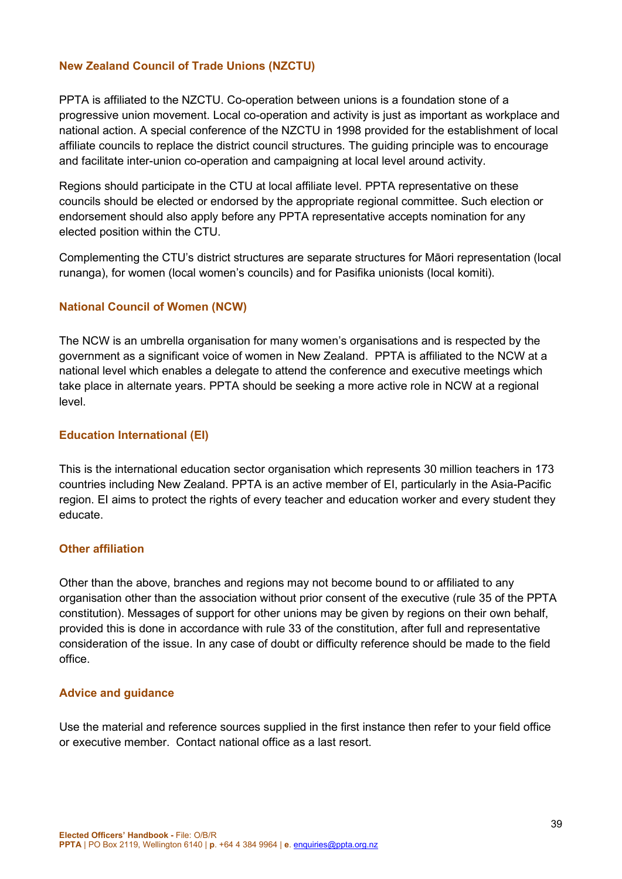#### **New Zealand Council of Trade Unions (NZCTU)**

PPTA is affiliated to the NZCTU. Co-operation between unions is a foundation stone of a progressive union movement. Local co-operation and activity is just as important as workplace and national action. A special conference of the NZCTU in 1998 provided for the establishment of local affiliate councils to replace the district council structures. The guiding principle was to encourage and facilitate inter-union co-operation and campaigning at local level around activity.

Regions should participate in the CTU at local affiliate level. PPTA representative on these councils should be elected or endorsed by the appropriate regional committee. Such election or endorsement should also apply before any PPTA representative accepts nomination for any elected position within the CTU.

Complementing the CTU's district structures are separate structures for Māori representation (local runanga), for women (local women's councils) and for Pasifika unionists (local komiti).

#### **National Council of Women (NCW)**

The NCW is an umbrella organisation for many women's organisations and is respected by the government as a significant voice of women in New Zealand. PPTA is affiliated to the NCW at a national level which enables a delegate to attend the conference and executive meetings which take place in alternate years. PPTA should be seeking a more active role in NCW at a regional level.

#### **Education International (EI)**

This is the international education sector organisation which represents 30 million teachers in 173 countries including New Zealand. PPTA is an active member of EI, particularly in the Asia-Pacific region. EI aims to protect the rights of every teacher and education worker and every student they educate.

#### **Other affiliation**

Other than the above, branches and regions may not become bound to or affiliated to any organisation other than the association without prior consent of the executive (rule 35 of the PPTA constitution). Messages of support for other unions may be given by regions on their own behalf, provided this is done in accordance with rule 33 of the constitution, after full and representative consideration of the issue. In any case of doubt or difficulty reference should be made to the field office.

#### **Advice and guidance**

Use the material and reference sources supplied in the first instance then refer to your field office or executive member. Contact national office as a last resort.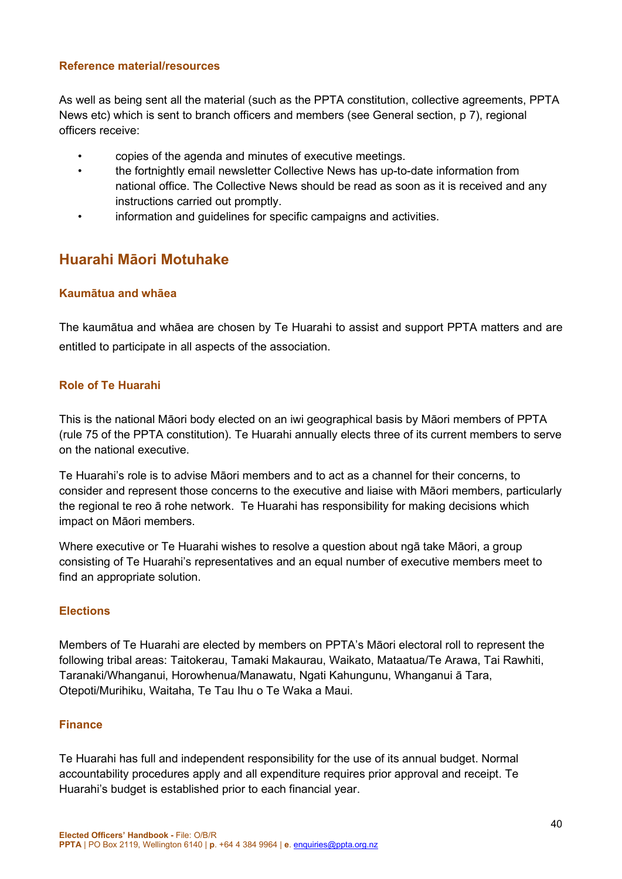#### **Reference material/resources**

As well as being sent all the material (such as the PPTA constitution, collective agreements, PPTA News etc) which is sent to branch officers and members (see General section, p 7), regional officers receive:

- copies of the agenda and minutes of executive meetings.
- the fortnightly email newsletter Collective News has up-to-date information from national office. The Collective News should be read as soon as it is received and any instructions carried out promptly.
- information and guidelines for specific campaigns and activities.

### <span id="page-39-0"></span>**Huarahi Māori Motuhake**

#### **Kaumātua and whāea**

The kaumātua and whāea are chosen by Te Huarahi to assist and support PPTA matters and are entitled to participate in all aspects of the association.

#### **Role of Te Huarahi**

This is the national Māori body elected on an iwi geographical basis by Māori members of PPTA (rule 75 of the PPTA constitution). Te Huarahi annually elects three of its current members to serve on the national executive.

Te Huarahi's role is to advise Māori members and to act as a channel for their concerns, to consider and represent those concerns to the executive and liaise with Māori members, particularly the regional te reo ā rohe network. Te Huarahi has responsibility for making decisions which impact on Māori members.

Where executive or Te Huarahi wishes to resolve a question about ngā take Māori, a group consisting of Te Huarahi's representatives and an equal number of executive members meet to find an appropriate solution.

#### **Elections**

Members of Te Huarahi are elected by members on PPTA's Māori electoral roll to represent the following tribal areas: Taitokerau, Tamaki Makaurau, Waikato, Mataatua/Te Arawa, Tai Rawhiti, Taranaki/Whanganui, Horowhenua/Manawatu, Ngati Kahungunu, Whanganui ā Tara, Otepoti/Murihiku, Waitaha, Te Tau Ihu o Te Waka a Maui.

#### **Finance**

Te Huarahi has full and independent responsibility for the use of its annual budget. Normal accountability procedures apply and all expenditure requires prior approval and receipt. Te Huarahi's budget is established prior to each financial year.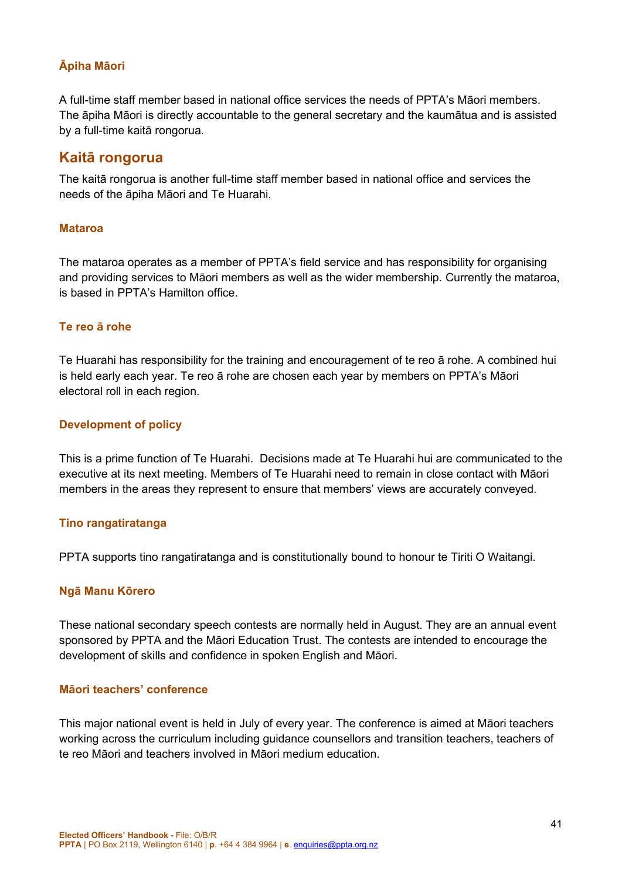#### **Āpiha Māori**

A full-time staff member based in national office services the needs of PPTA's Māori members. The āpiha Māori is directly accountable to the general secretary and the kaumātua and is assisted by a full-time kaitā rongorua.

### <span id="page-40-0"></span>**Kaitā rongorua**

The kaitā rongorua is another full-time staff member based in national office and services the needs of the āpiha Māori and Te Huarahi.

#### **Mataroa**

The mataroa operates as a member of PPTA's field service and has responsibility for organising and providing services to Māori members as well as the wider membership. Currently the mataroa, is based in PPTA's Hamilton office.

#### **Te reo ā rohe**

Te Huarahi has responsibility for the training and encouragement of te reo ā rohe. A combined hui is held early each year. Te reo ā rohe are chosen each year by members on PPTA's Māori electoral roll in each region.

#### **Development of policy**

This is a prime function of Te Huarahi. Decisions made at Te Huarahi hui are communicated to the executive at its next meeting. Members of Te Huarahi need to remain in close contact with Māori members in the areas they represent to ensure that members' views are accurately conveyed.

#### **Tino rangatiratanga**

PPTA supports tino rangatiratanga and is constitutionally bound to honour te Tiriti O Waitangi.

#### **Ngā Manu Kōrero**

These national secondary speech contests are normally held in August. They are an annual event sponsored by PPTA and the Māori Education Trust. The contests are intended to encourage the development of skills and confidence in spoken English and Māori.

#### **Māori teachers' conference**

This major national event is held in July of every year. The conference is aimed at Māori teachers working across the curriculum including guidance counsellors and transition teachers, teachers of te reo Māori and teachers involved in Māori medium education.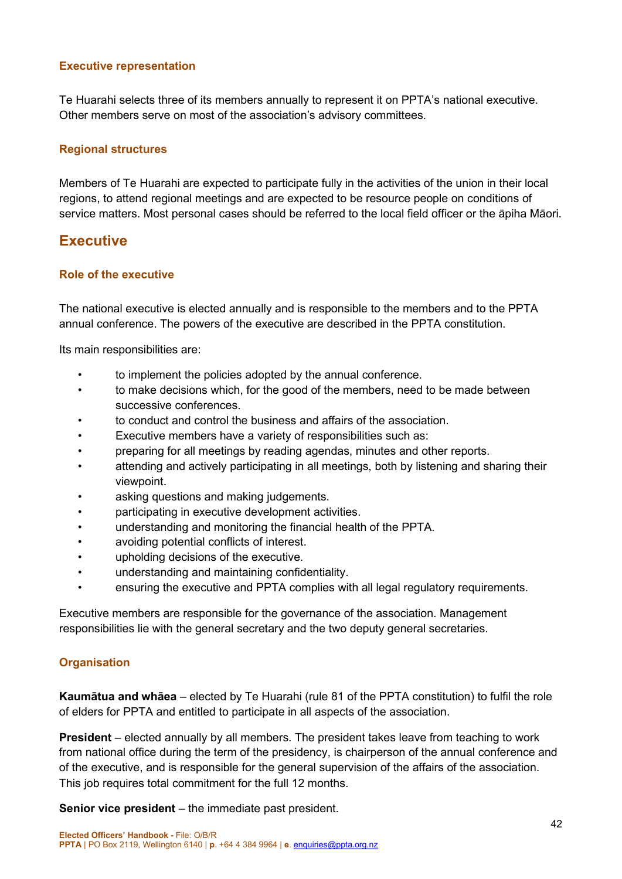#### **Executive representation**

Te Huarahi selects three of its members annually to represent it on PPTA's national executive. Other members serve on most of the association's advisory committees.

#### **Regional structures**

Members of Te Huarahi are expected to participate fully in the activities of the union in their local regions, to attend regional meetings and are expected to be resource people on conditions of service matters. Most personal cases should be referred to the local field officer or the āpiha Māori.

### <span id="page-41-0"></span>**Executive**

#### **Role of the executive**

The national executive is elected annually and is responsible to the members and to the PPTA annual conference. The powers of the executive are described in the PPTA constitution.

Its main responsibilities are:

- to implement the policies adopted by the annual conference.
- to make decisions which, for the good of the members, need to be made between successive conferences.
- to conduct and control the business and affairs of the association.
- Executive members have a variety of responsibilities such as:
- preparing for all meetings by reading agendas, minutes and other reports.
- attending and actively participating in all meetings, both by listening and sharing their viewpoint.
- asking questions and making judgements.
- participating in executive development activities.
- understanding and monitoring the financial health of the PPTA.
- avoiding potential conflicts of interest.
- upholding decisions of the executive.
- understanding and maintaining confidentiality.
- ensuring the executive and PPTA complies with all legal regulatory requirements.

Executive members are responsible for the governance of the association. Management responsibilities lie with the general secretary and the two deputy general secretaries.

#### **Organisation**

**Kaumātua and whāea** – elected by Te Huarahi (rule 81 of the PPTA constitution) to fulfil the role of elders for PPTA and entitled to participate in all aspects of the association.

**President** – elected annually by all members. The president takes leave from teaching to work from national office during the term of the presidency, is chairperson of the annual conference and of the executive, and is responsible for the general supervision of the affairs of the association. This job requires total commitment for the full 12 months.

**Senior vice president** – the immediate past president.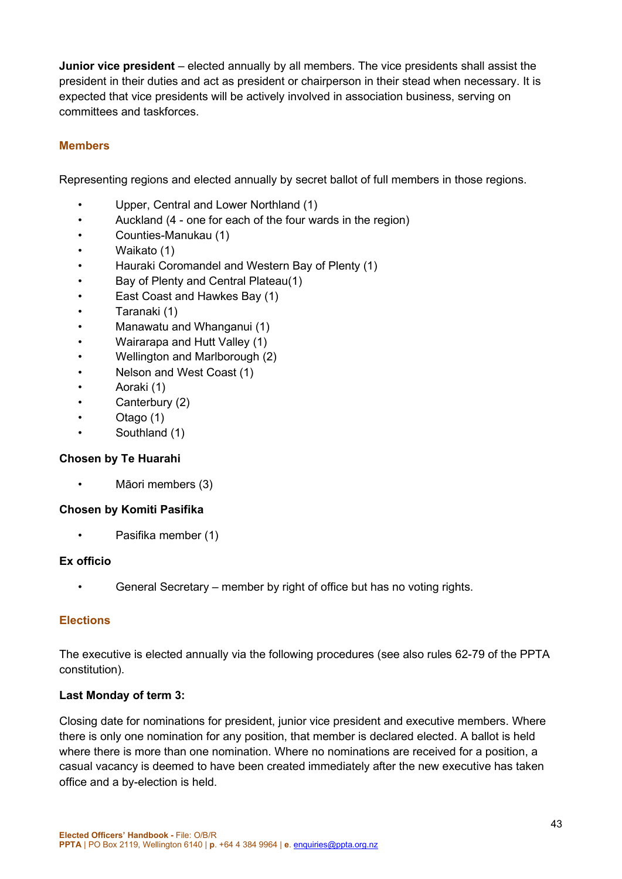**Junior vice president** – elected annually by all members. The vice presidents shall assist the president in their duties and act as president or chairperson in their stead when necessary. It is expected that vice presidents will be actively involved in association business, serving on committees and taskforces.

#### **Members**

Representing regions and elected annually by secret ballot of full members in those regions.

- Upper, Central and Lower Northland (1)
- Auckland (4 one for each of the four wards in the region)
- Counties-Manukau (1)
- Waikato (1)
- Hauraki Coromandel and Western Bay of Plenty (1)
- Bay of Plenty and Central Plateau(1)
- East Coast and Hawkes Bay (1)
- Taranaki (1)
- Manawatu and Whanganui (1)
- Wairarapa and Hutt Valley (1)
- Wellington and Marlborough (2)
- Nelson and West Coast (1)
- Aoraki (1)
- Canterbury (2)
- Otago (1)
- Southland (1)

#### **Chosen by Te Huarahi**

• Māori members (3)

#### **Chosen by Komiti Pasifika**

• Pasifika member (1)

#### **Ex officio**

General Secretary – member by right of office but has no voting rights.

#### **Elections**

The executive is elected annually via the following procedures (see also rules 62-79 of the PPTA constitution).

#### **Last Monday of term 3:**

Closing date for nominations for president, junior vice president and executive members. Where there is only one nomination for any position, that member is declared elected. A ballot is held where there is more than one nomination. Where no nominations are received for a position, a casual vacancy is deemed to have been created immediately after the new executive has taken office and a by-election is held.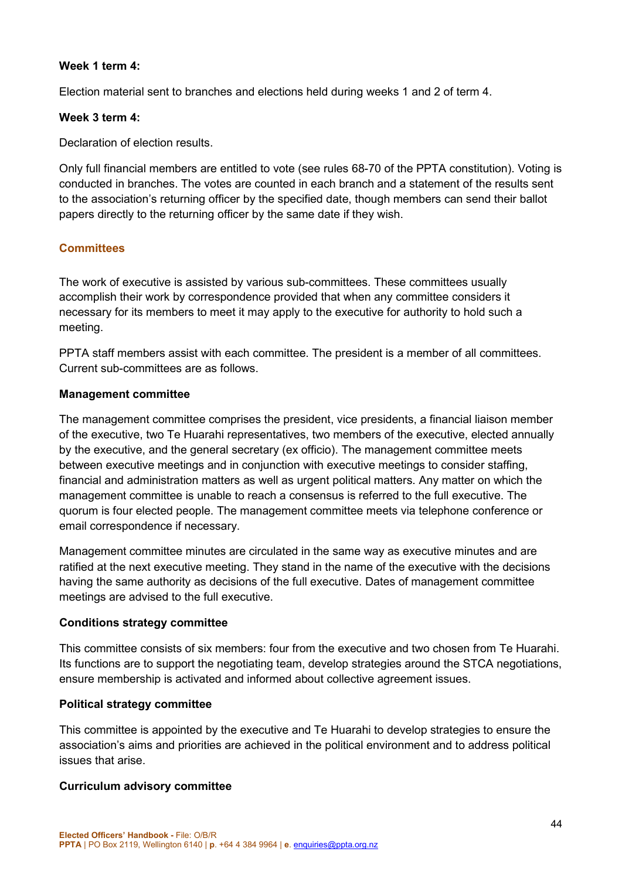#### **Week 1 term 4:**

Election material sent to branches and elections held during weeks 1 and 2 of term 4.

#### **Week 3 term 4:**

Declaration of election results.

Only full financial members are entitled to vote (see rules 68-70 of the PPTA constitution). Voting is conducted in branches. The votes are counted in each branch and a statement of the results sent to the association's returning officer by the specified date, though members can send their ballot papers directly to the returning officer by the same date if they wish.

#### **Committees**

The work of executive is assisted by various sub-committees. These committees usually accomplish their work by correspondence provided that when any committee considers it necessary for its members to meet it may apply to the executive for authority to hold such a meeting.

PPTA staff members assist with each committee. The president is a member of all committees. Current sub-committees are as follows.

#### **Management committee**

The management committee comprises the president, vice presidents, a financial liaison member of the executive, two Te Huarahi representatives, two members of the executive, elected annually by the executive, and the general secretary (ex officio). The management committee meets between executive meetings and in conjunction with executive meetings to consider staffing, financial and administration matters as well as urgent political matters. Any matter on which the management committee is unable to reach a consensus is referred to the full executive. The quorum is four elected people. The management committee meets via telephone conference or email correspondence if necessary.

Management committee minutes are circulated in the same way as executive minutes and are ratified at the next executive meeting. They stand in the name of the executive with the decisions having the same authority as decisions of the full executive. Dates of management committee meetings are advised to the full executive.

#### **Conditions strategy committee**

This committee consists of six members: four from the executive and two chosen from Te Huarahi. Its functions are to support the negotiating team, develop strategies around the STCA negotiations, ensure membership is activated and informed about collective agreement issues.

#### **Political strategy committee**

This committee is appointed by the executive and Te Huarahi to develop strategies to ensure the association's aims and priorities are achieved in the political environment and to address political issues that arise.

#### **Curriculum advisory committee**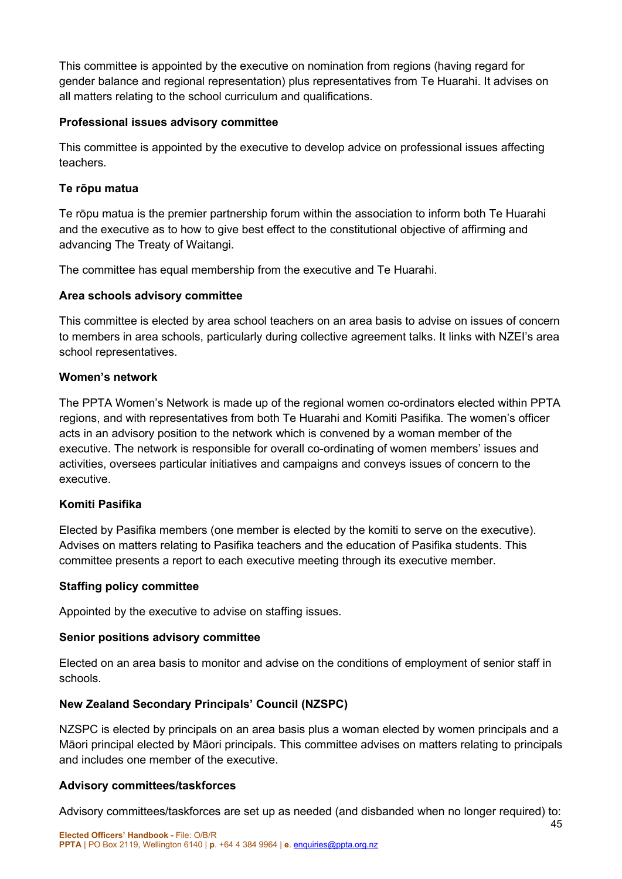This committee is appointed by the executive on nomination from regions (having regard for gender balance and regional representation) plus representatives from Te Huarahi. It advises on all matters relating to the school curriculum and qualifications.

#### **Professional issues advisory committee**

This committee is appointed by the executive to develop advice on professional issues affecting teachers.

#### **Te rōpu matua**

Te rōpu matua is the premier partnership forum within the association to inform both Te Huarahi and the executive as to how to give best effect to the constitutional objective of affirming and advancing The Treaty of Waitangi.

The committee has equal membership from the executive and Te Huarahi.

#### **Area schools advisory committee**

This committee is elected by area school teachers on an area basis to advise on issues of concern to members in area schools, particularly during collective agreement talks. It links with NZEI's area school representatives.

#### **Women's network**

The PPTA Women's Network is made up of the regional women co-ordinators elected within PPTA regions, and with representatives from both Te Huarahi and Komiti Pasifika. The women's officer acts in an advisory position to the network which is convened by a woman member of the executive. The network is responsible for overall co-ordinating of women members' issues and activities, oversees particular initiatives and campaigns and conveys issues of concern to the executive.

#### **Komiti Pasifika**

Elected by Pasifika members (one member is elected by the komiti to serve on the executive). Advises on matters relating to Pasifika teachers and the education of Pasifika students. This committee presents a report to each executive meeting through its executive member.

#### **Staffing policy committee**

Appointed by the executive to advise on staffing issues.

#### **Senior positions advisory committee**

Elected on an area basis to monitor and advise on the conditions of employment of senior staff in schools.

#### **New Zealand Secondary Principals' Council (NZSPC)**

NZSPC is elected by principals on an area basis plus a woman elected by women principals and a Māori principal elected by Māori principals. This committee advises on matters relating to principals and includes one member of the executive.

#### **Advisory committees/taskforces**

Advisory committees/taskforces are set up as needed (and disbanded when no longer required) to: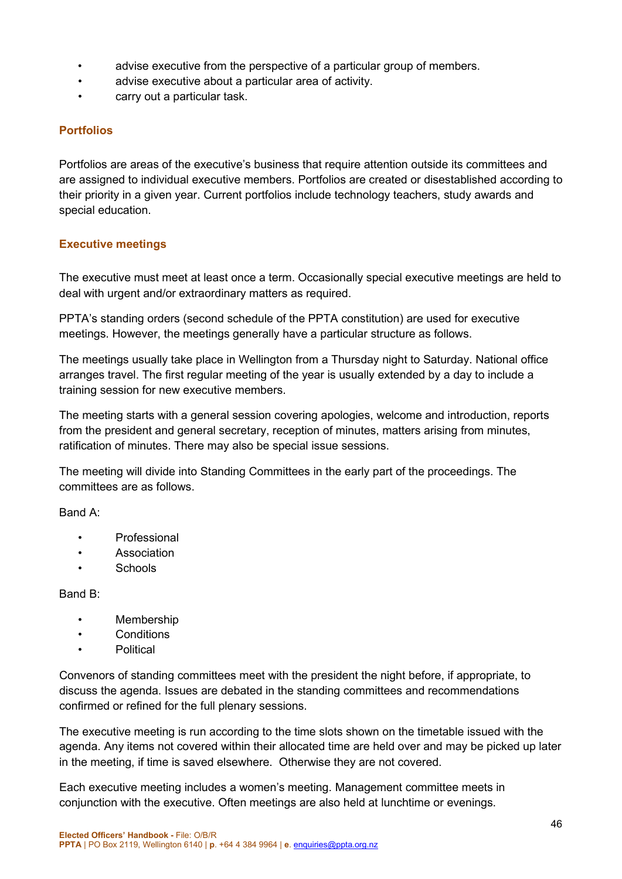- advise executive from the perspective of a particular group of members.
- advise executive about a particular area of activity.
- carry out a particular task.

#### **Portfolios**

Portfolios are areas of the executive's business that require attention outside its committees and are assigned to individual executive members. Portfolios are created or disestablished according to their priority in a given year. Current portfolios include technology teachers, study awards and special education.

#### **Executive meetings**

The executive must meet at least once a term. Occasionally special executive meetings are held to deal with urgent and/or extraordinary matters as required.

PPTA's standing orders (second schedule of the PPTA constitution) are used for executive meetings. However, the meetings generally have a particular structure as follows.

The meetings usually take place in Wellington from a Thursday night to Saturday. National office arranges travel. The first regular meeting of the year is usually extended by a day to include a training session for new executive members.

The meeting starts with a general session covering apologies, welcome and introduction, reports from the president and general secretary, reception of minutes, matters arising from minutes, ratification of minutes. There may also be special issue sessions.

The meeting will divide into Standing Committees in the early part of the proceedings. The committees are as follows.

Band A:

- Professional
- Association
- Schools

#### Band B:

- Membership
- Conditions
- Political

Convenors of standing committees meet with the president the night before, if appropriate, to discuss the agenda. Issues are debated in the standing committees and recommendations confirmed or refined for the full plenary sessions.

The executive meeting is run according to the time slots shown on the timetable issued with the agenda. Any items not covered within their allocated time are held over and may be picked up later in the meeting, if time is saved elsewhere. Otherwise they are not covered.

Each executive meeting includes a women's meeting. Management committee meets in conjunction with the executive. Often meetings are also held at lunchtime or evenings.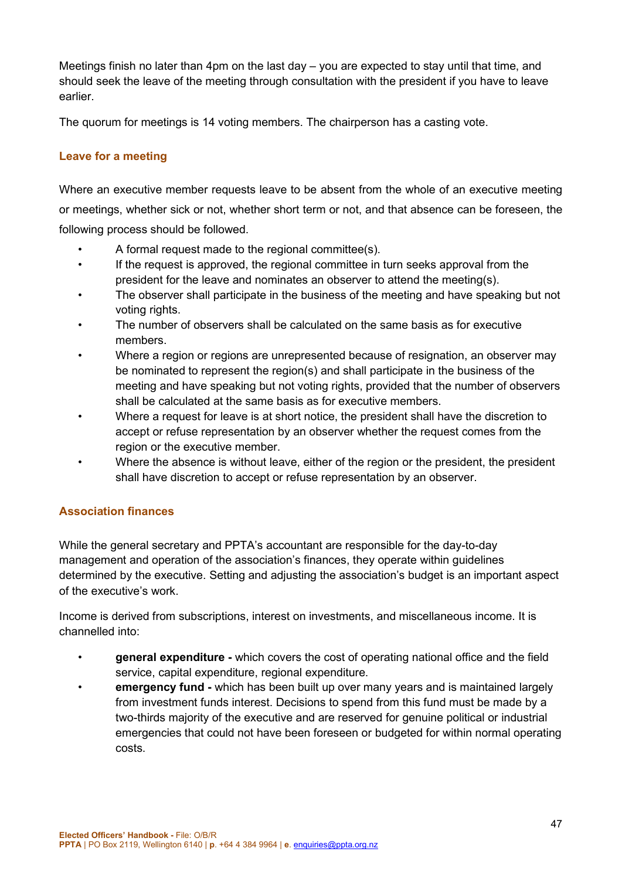Meetings finish no later than 4pm on the last day – you are expected to stay until that time, and should seek the leave of the meeting through consultation with the president if you have to leave earlier.

The quorum for meetings is 14 voting members. The chairperson has a casting vote.

#### **Leave for a meeting**

Where an executive member requests leave to be absent from the whole of an executive meeting or meetings, whether sick or not, whether short term or not, and that absence can be foreseen, the following process should be followed.

- A formal request made to the regional committee(s).
- If the request is approved, the regional committee in turn seeks approval from the president for the leave and nominates an observer to attend the meeting(s).
- The observer shall participate in the business of the meeting and have speaking but not voting rights.
- The number of observers shall be calculated on the same basis as for executive members.
- Where a region or regions are unrepresented because of resignation, an observer may be nominated to represent the region(s) and shall participate in the business of the meeting and have speaking but not voting rights, provided that the number of observers shall be calculated at the same basis as for executive members.
- Where a request for leave is at short notice, the president shall have the discretion to accept or refuse representation by an observer whether the request comes from the region or the executive member.
- Where the absence is without leave, either of the region or the president, the president shall have discretion to accept or refuse representation by an observer.

#### **Association finances**

While the general secretary and PPTA's accountant are responsible for the day-to-day management and operation of the association's finances, they operate within guidelines determined by the executive. Setting and adjusting the association's budget is an important aspect of the executive's work.

Income is derived from subscriptions, interest on investments, and miscellaneous income. It is channelled into:

- **general expenditure -** which covers the cost of operating national office and the field service, capital expenditure, regional expenditure.
- **emergency fund -** which has been built up over many years and is maintained largely from investment funds interest. Decisions to spend from this fund must be made by a two-thirds majority of the executive and are reserved for genuine political or industrial emergencies that could not have been foreseen or budgeted for within normal operating costs.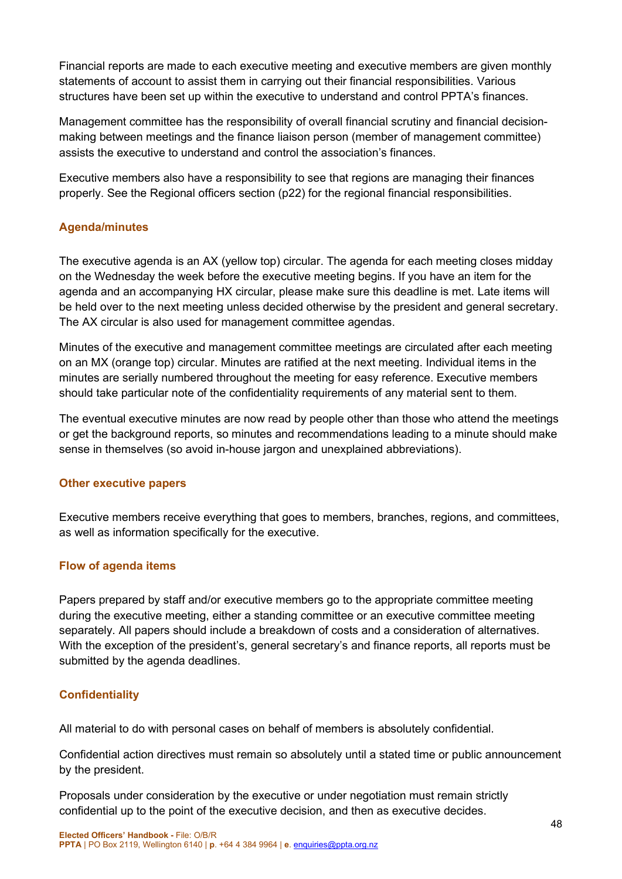Financial reports are made to each executive meeting and executive members are given monthly statements of account to assist them in carrying out their financial responsibilities. Various structures have been set up within the executive to understand and control PPTA's finances.

Management committee has the responsibility of overall financial scrutiny and financial decisionmaking between meetings and the finance liaison person (member of management committee) assists the executive to understand and control the association's finances.

Executive members also have a responsibility to see that regions are managing their finances properly. See the Regional officers section (p22) for the regional financial responsibilities.

#### **Agenda/minutes**

The executive agenda is an AX (yellow top) circular. The agenda for each meeting closes midday on the Wednesday the week before the executive meeting begins. If you have an item for the agenda and an accompanying HX circular, please make sure this deadline is met. Late items will be held over to the next meeting unless decided otherwise by the president and general secretary. The AX circular is also used for management committee agendas.

Minutes of the executive and management committee meetings are circulated after each meeting on an MX (orange top) circular. Minutes are ratified at the next meeting. Individual items in the minutes are serially numbered throughout the meeting for easy reference. Executive members should take particular note of the confidentiality requirements of any material sent to them.

The eventual executive minutes are now read by people other than those who attend the meetings or get the background reports, so minutes and recommendations leading to a minute should make sense in themselves (so avoid in-house jargon and unexplained abbreviations).

#### **Other executive papers**

Executive members receive everything that goes to members, branches, regions, and committees, as well as information specifically for the executive.

#### **Flow of agenda items**

Papers prepared by staff and/or executive members go to the appropriate committee meeting during the executive meeting, either a standing committee or an executive committee meeting separately. All papers should include a breakdown of costs and a consideration of alternatives. With the exception of the president's, general secretary's and finance reports, all reports must be submitted by the agenda deadlines.

#### **Confidentiality**

All material to do with personal cases on behalf of members is absolutely confidential.

Confidential action directives must remain so absolutely until a stated time or public announcement by the president.

Proposals under consideration by the executive or under negotiation must remain strictly confidential up to the point of the executive decision, and then as executive decides.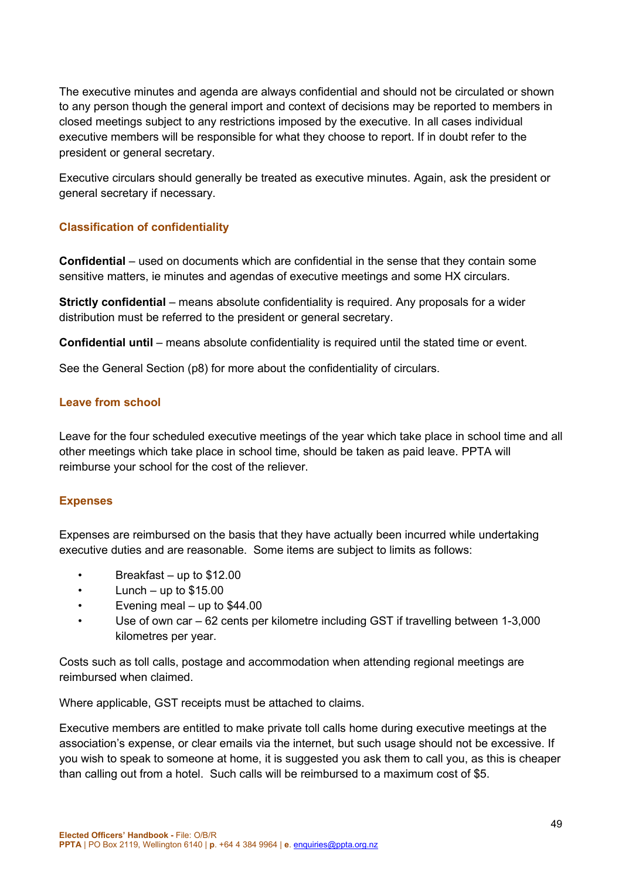The executive minutes and agenda are always confidential and should not be circulated or shown to any person though the general import and context of decisions may be reported to members in closed meetings subject to any restrictions imposed by the executive. In all cases individual executive members will be responsible for what they choose to report. If in doubt refer to the president or general secretary.

Executive circulars should generally be treated as executive minutes. Again, ask the president or general secretary if necessary.

#### **Classification of confidentiality**

**Confidential** – used on documents which are confidential in the sense that they contain some sensitive matters, ie minutes and agendas of executive meetings and some HX circulars.

**Strictly confidential** – means absolute confidentiality is required. Any proposals for a wider distribution must be referred to the president or general secretary.

**Confidential until** – means absolute confidentiality is required until the stated time or event.

See the General Section (p8) for more about the confidentiality of circulars.

#### **Leave from school**

Leave for the four scheduled executive meetings of the year which take place in school time and all other meetings which take place in school time, should be taken as paid leave. PPTA will reimburse your school for the cost of the reliever.

#### **Expenses**

Expenses are reimbursed on the basis that they have actually been incurred while undertaking executive duties and are reasonable. Some items are subject to limits as follows:

- Breakfast up to \$12.00
- $\cdot$  Lunch up to \$15.00
- Evening meal up to \$44.00
- Use of own car 62 cents per kilometre including GST if travelling between 1-3,000 kilometres per year.

Costs such as toll calls, postage and accommodation when attending regional meetings are reimbursed when claimed.

Where applicable, GST receipts must be attached to claims.

Executive members are entitled to make private toll calls home during executive meetings at the association's expense, or clear emails via the internet, but such usage should not be excessive. If you wish to speak to someone at home, it is suggested you ask them to call you, as this is cheaper than calling out from a hotel. Such calls will be reimbursed to a maximum cost of \$5.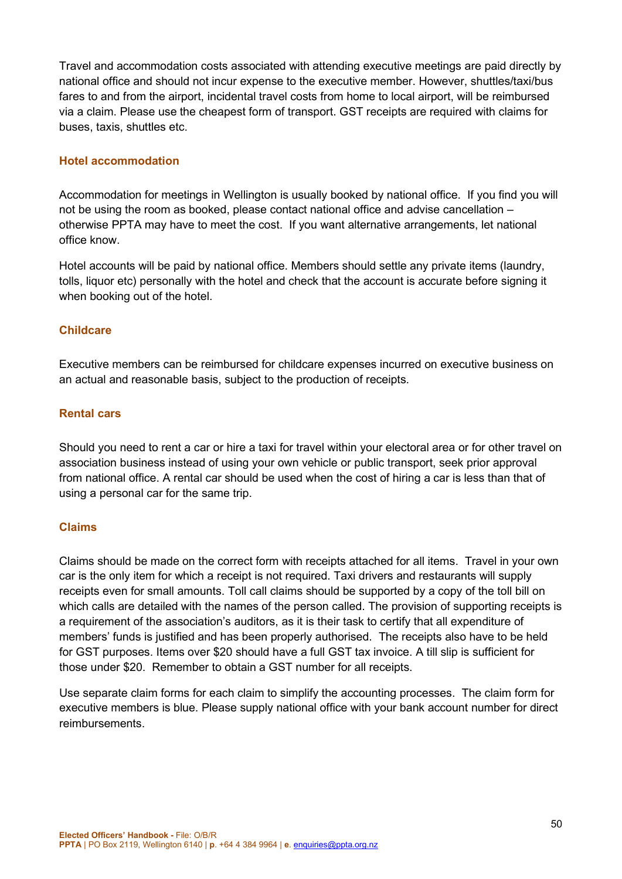Travel and accommodation costs associated with attending executive meetings are paid directly by national office and should not incur expense to the executive member. However, shuttles/taxi/bus fares to and from the airport, incidental travel costs from home to local airport, will be reimbursed via a claim. Please use the cheapest form of transport. GST receipts are required with claims for buses, taxis, shuttles etc.

#### **Hotel accommodation**

Accommodation for meetings in Wellington is usually booked by national office. If you find you will not be using the room as booked, please contact national office and advise cancellation – otherwise PPTA may have to meet the cost. If you want alternative arrangements, let national office know.

Hotel accounts will be paid by national office. Members should settle any private items (laundry, tolls, liquor etc) personally with the hotel and check that the account is accurate before signing it when booking out of the hotel.

#### **Childcare**

Executive members can be reimbursed for childcare expenses incurred on executive business on an actual and reasonable basis, subject to the production of receipts.

#### **Rental cars**

Should you need to rent a car or hire a taxi for travel within your electoral area or for other travel on association business instead of using your own vehicle or public transport, seek prior approval from national office. A rental car should be used when the cost of hiring a car is less than that of using a personal car for the same trip.

#### **Claims**

Claims should be made on the correct form with receipts attached for all items. Travel in your own car is the only item for which a receipt is not required. Taxi drivers and restaurants will supply receipts even for small amounts. Toll call claims should be supported by a copy of the toll bill on which calls are detailed with the names of the person called. The provision of supporting receipts is a requirement of the association's auditors, as it is their task to certify that all expenditure of members' funds is justified and has been properly authorised. The receipts also have to be held for GST purposes. Items over \$20 should have a full GST tax invoice. A till slip is sufficient for those under \$20. Remember to obtain a GST number for all receipts.

Use separate claim forms for each claim to simplify the accounting processes. The claim form for executive members is blue. Please supply national office with your bank account number for direct reimbursements.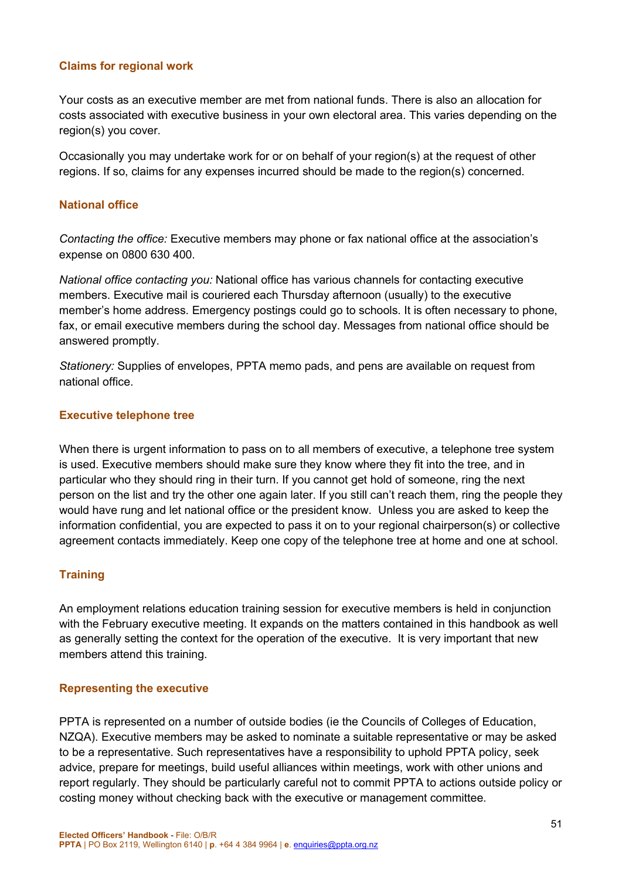#### **Claims for regional work**

Your costs as an executive member are met from national funds. There is also an allocation for costs associated with executive business in your own electoral area. This varies depending on the region(s) you cover.

Occasionally you may undertake work for or on behalf of your region(s) at the request of other regions. If so, claims for any expenses incurred should be made to the region(s) concerned.

#### **National office**

*Contacting the office:* Executive members may phone or fax national office at the association's expense on 0800 630 400.

*National office contacting you:* National office has various channels for contacting executive members. Executive mail is couriered each Thursday afternoon (usually) to the executive member's home address. Emergency postings could go to schools. It is often necessary to phone, fax, or email executive members during the school day. Messages from national office should be answered promptly.

*Stationery:* Supplies of envelopes, PPTA memo pads, and pens are available on request from national office.

#### **Executive telephone tree**

When there is urgent information to pass on to all members of executive, a telephone tree system is used. Executive members should make sure they know where they fit into the tree, and in particular who they should ring in their turn. If you cannot get hold of someone, ring the next person on the list and try the other one again later. If you still can't reach them, ring the people they would have rung and let national office or the president know. Unless you are asked to keep the information confidential, you are expected to pass it on to your regional chairperson(s) or collective agreement contacts immediately. Keep one copy of the telephone tree at home and one at school.

#### **Training**

An employment relations education training session for executive members is held in conjunction with the February executive meeting. It expands on the matters contained in this handbook as well as generally setting the context for the operation of the executive. It is very important that new members attend this training.

#### **Representing the executive**

PPTA is represented on a number of outside bodies (ie the Councils of Colleges of Education, NZQA). Executive members may be asked to nominate a suitable representative or may be asked to be a representative. Such representatives have a responsibility to uphold PPTA policy, seek advice, prepare for meetings, build useful alliances within meetings, work with other unions and report regularly. They should be particularly careful not to commit PPTA to actions outside policy or costing money without checking back with the executive or management committee.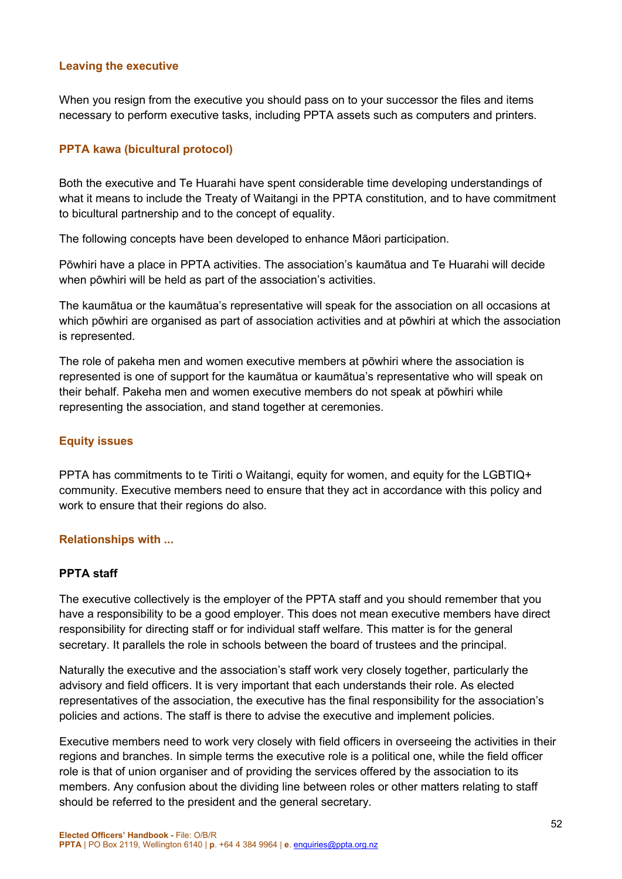#### **Leaving the executive**

When you resign from the executive you should pass on to your successor the files and items necessary to perform executive tasks, including PPTA assets such as computers and printers.

#### **PPTA kawa (bicultural protocol)**

Both the executive and Te Huarahi have spent considerable time developing understandings of what it means to include the Treaty of Waitangi in the PPTA constitution, and to have commitment to bicultural partnership and to the concept of equality.

The following concepts have been developed to enhance Māori participation.

Pōwhiri have a place in PPTA activities. The association's kaumātua and Te Huarahi will decide when pōwhiri will be held as part of the association's activities.

The kaumātua or the kaumātua's representative will speak for the association on all occasions at which pōwhiri are organised as part of association activities and at pōwhiri at which the association is represented.

The role of pakeha men and women executive members at pōwhiri where the association is represented is one of support for the kaumātua or kaumātua's representative who will speak on their behalf. Pakeha men and women executive members do not speak at pōwhiri while representing the association, and stand together at ceremonies.

#### **Equity issues**

PPTA has commitments to te Tiriti o Waitangi, equity for women, and equity for the LGBTIQ+ community. Executive members need to ensure that they act in accordance with this policy and work to ensure that their regions do also.

#### **Relationships with ...**

#### **PPTA staff**

The executive collectively is the employer of the PPTA staff and you should remember that you have a responsibility to be a good employer. This does not mean executive members have direct responsibility for directing staff or for individual staff welfare. This matter is for the general secretary. It parallels the role in schools between the board of trustees and the principal.

Naturally the executive and the association's staff work very closely together, particularly the advisory and field officers. It is very important that each understands their role. As elected representatives of the association, the executive has the final responsibility for the association's policies and actions. The staff is there to advise the executive and implement policies.

Executive members need to work very closely with field officers in overseeing the activities in their regions and branches. In simple terms the executive role is a political one, while the field officer role is that of union organiser and of providing the services offered by the association to its members. Any confusion about the dividing line between roles or other matters relating to staff should be referred to the president and the general secretary.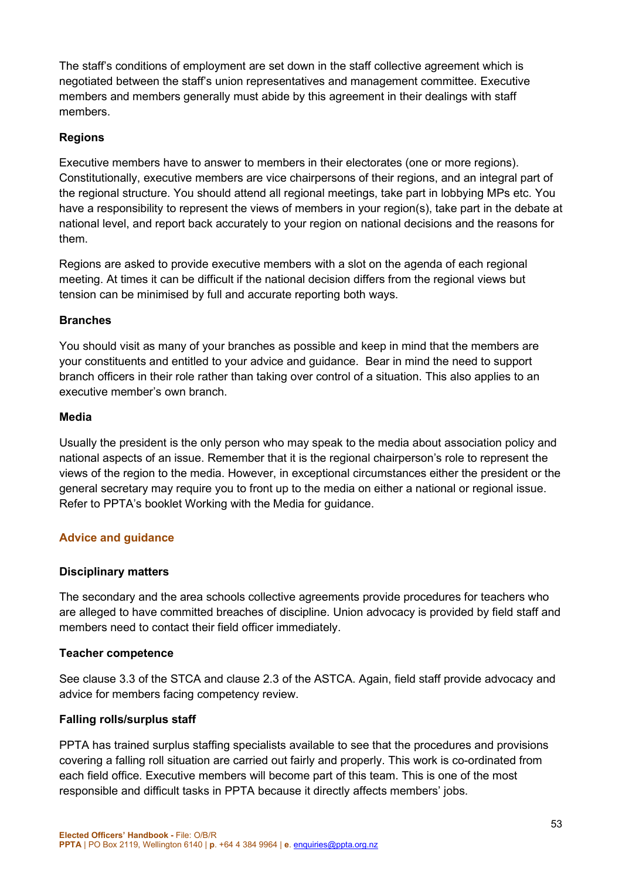The staff's conditions of employment are set down in the staff collective agreement which is negotiated between the staff's union representatives and management committee. Executive members and members generally must abide by this agreement in their dealings with staff members.

#### **Regions**

Executive members have to answer to members in their electorates (one or more regions). Constitutionally, executive members are vice chairpersons of their regions, and an integral part of the regional structure. You should attend all regional meetings, take part in lobbying MPs etc. You have a responsibility to represent the views of members in your region(s), take part in the debate at national level, and report back accurately to your region on national decisions and the reasons for them.

Regions are asked to provide executive members with a slot on the agenda of each regional meeting. At times it can be difficult if the national decision differs from the regional views but tension can be minimised by full and accurate reporting both ways.

#### **Branches**

You should visit as many of your branches as possible and keep in mind that the members are your constituents and entitled to your advice and guidance. Bear in mind the need to support branch officers in their role rather than taking over control of a situation. This also applies to an executive member's own branch.

#### **Media**

Usually the president is the only person who may speak to the media about association policy and national aspects of an issue. Remember that it is the regional chairperson's role to represent the views of the region to the media. However, in exceptional circumstances either the president or the general secretary may require you to front up to the media on either a national or regional issue. Refer to PPTA's booklet Working with the Media for guidance.

#### **Advice and guidance**

#### **Disciplinary matters**

The secondary and the area schools collective agreements provide procedures for teachers who are alleged to have committed breaches of discipline. Union advocacy is provided by field staff and members need to contact their field officer immediately.

#### **Teacher competence**

See clause 3.3 of the STCA and clause 2.3 of the ASTCA. Again, field staff provide advocacy and advice for members facing competency review.

#### **Falling rolls/surplus staff**

PPTA has trained surplus staffing specialists available to see that the procedures and provisions covering a falling roll situation are carried out fairly and properly. This work is co-ordinated from each field office. Executive members will become part of this team. This is one of the most responsible and difficult tasks in PPTA because it directly affects members' jobs.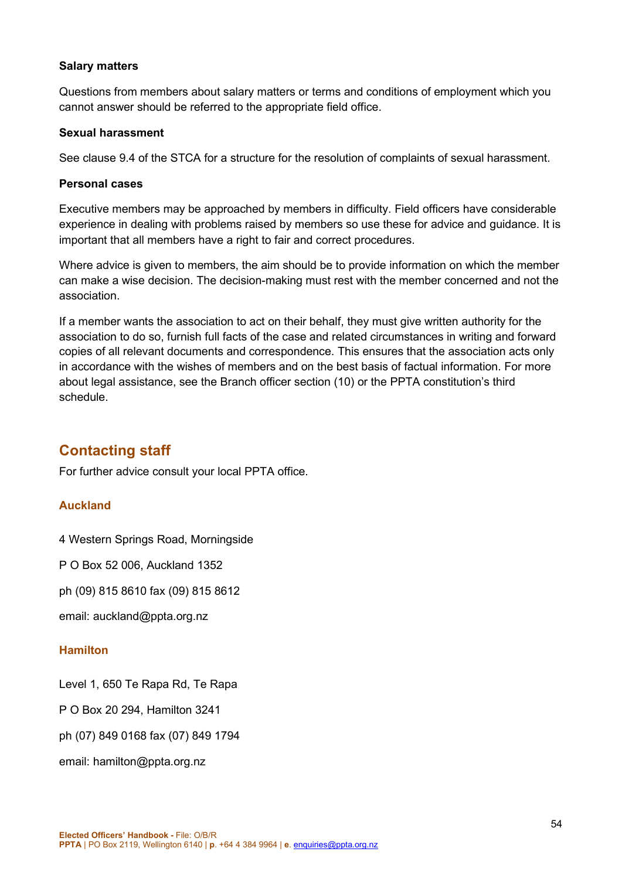#### **Salary matters**

Questions from members about salary matters or terms and conditions of employment which you cannot answer should be referred to the appropriate field office.

#### **Sexual harassment**

See clause 9.4 of the STCA for a structure for the resolution of complaints of sexual harassment.

#### **Personal cases**

Executive members may be approached by members in difficulty. Field officers have considerable experience in dealing with problems raised by members so use these for advice and guidance. It is important that all members have a right to fair and correct procedures.

Where advice is given to members, the aim should be to provide information on which the member can make a wise decision. The decision-making must rest with the member concerned and not the association.

If a member wants the association to act on their behalf, they must give written authority for the association to do so, furnish full facts of the case and related circumstances in writing and forward copies of all relevant documents and correspondence. This ensures that the association acts only in accordance with the wishes of members and on the best basis of factual information. For more about legal assistance, see the Branch officer section (10) or the PPTA constitution's third schedule.

### <span id="page-53-0"></span>**Contacting staff**

For further advice consult your local PPTA office.

#### **Auckland**

4 Western Springs Road, Morningside

P O Box 52 006, Auckland 1352

ph (09) 815 8610 fax (09) 815 8612

email: auckland@ppta.org.nz

#### **Hamilton**

Level 1, 650 Te Rapa Rd, Te Rapa

P O Box 20 294, Hamilton 3241

ph (07) 849 0168 fax (07) 849 1794

email: hamilton@ppta.org.nz